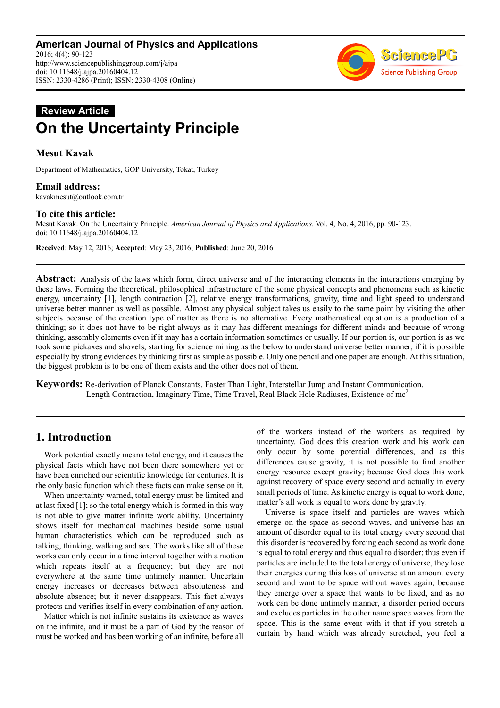

# **Review Article On the Uncertainty Principle**

# **Mesut Kavak**

Department of Mathematics, GOP University, Tokat, Turkey

### **Email address:**

kavakmesut@outlook.com.tr

### **To cite this article:**

Mesut Kavak. On the Uncertainty Principle. *American Journal of Physics and Applications*. Vol. 4, No. 4, 2016, pp. 90-123. doi: 10.11648/j.ajpa.20160404.12

**Received**: May 12, 2016; **Accepted**: May 23, 2016; **Published**: June 20, 2016

**Abstract:** Analysis of the laws which form, direct universe and of the interacting elements in the interactions emerging by these laws. Forming the theoretical, philosophical infrastructure of the some physical concepts and phenomena such as kinetic energy, uncertainty [1], length contraction [2], relative energy transformations, gravity, time and light speed to understand universe better manner as well as possible. Almost any physical subject takes us easily to the same point by visiting the other subjects because of the creation type of matter as there is no alternative. Every mathematical equation is a production of a thinking; so it does not have to be right always as it may has different meanings for different minds and because of wrong thinking, assembly elements even if it may has a certain information sometimes or usually. If our portion is, our portion is as we took some pickaxes and shovels, starting for science mining as the below to understand universe better manner, if it is possible especially by strong evidences by thinking first as simple as possible. Only one pencil and one paper are enough. At this situation, the biggest problem is to be one of them exists and the other does not of them.

**Keywords:** Re-derivation of Planck Constants, Faster Than Light, Interstellar Jump and Instant Communication, Length Contraction, Imaginary Time, Time Travel, Real Black Hole Radiuses, Existence of mc<sup>2</sup>

# **1. Introduction**

Work potential exactly means total energy, and it causes the physical facts which have not been there somewhere yet or have been enriched our scientific knowledge for centuries. It is the only basic function which these facts can make sense on it.

When uncertainty warned, total energy must be limited and at last fixed [1]; so the total energy which is formed in this way is not able to give matter infinite work ability. Uncertainty shows itself for mechanical machines beside some usual human characteristics which can be reproduced such as talking, thinking, walking and sex. The works like all of these works can only occur in a time interval together with a motion which repeats itself at a frequency; but they are not everywhere at the same time untimely manner. Uncertain energy increases or decreases between absoluteness and absolute absence; but it never disappears. This fact always protects and verifies itself in every combination of any action.

Matter which is not infinite sustains its existence as waves on the infinite, and it must be a part of God by the reason of must be worked and has been working of an infinite, before all of the workers instead of the workers as required by uncertainty. God does this creation work and his work can only occur by some potential differences, and as this differences cause gravity, it is not possible to find another energy resource except gravity; because God does this work against recovery of space every second and actually in every small periods of time. As kinetic energy is equal to work done, matter's all work is equal to work done by gravity.

Universe is space itself and particles are waves which emerge on the space as second waves, and universe has an amount of disorder equal to its total energy every second that this disorder is recovered by forcing each second as work done is equal to total energy and thus equal to disorder; thus even if particles are included to the total energy of universe, they lose their energies during this loss of universe at an amount every second and want to be space without waves again; because they emerge over a space that wants to be fixed, and as no work can be done untimely manner, a disorder period occurs and excludes particles in the other name space waves from the space. This is the same event with it that if you stretch a curtain by hand which was already stretched, you feel a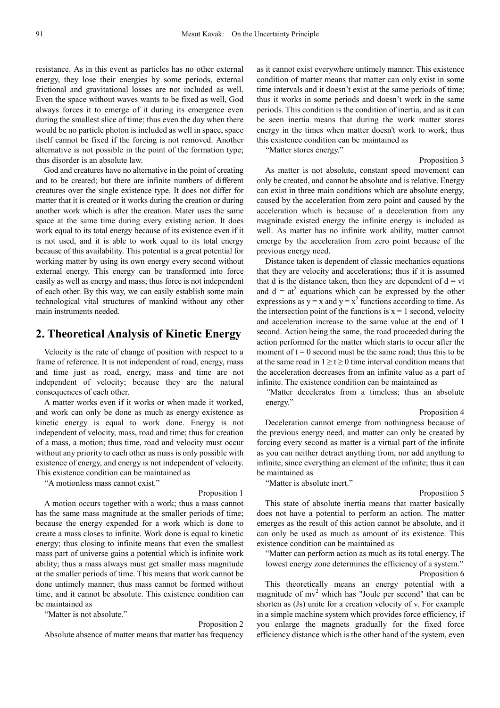resistance. As in this event as particles has no other external energy, they lose their energies by some periods, external frictional and gravitational losses are not included as well. Even the space without waves wants to be fixed as well, God always forces it to emerge of it during its emergence even during the smallest slice of time; thus even the day when there would be no particle photon is included as well in space, space itself cannot be fixed if the forcing is not removed. Another alternative is not possible in the point of the formation type; thus disorder is an absolute law.

God and creatures have no alternative in the point of creating and to be created; but there are infinite numbers of different creatures over the single existence type. It does not differ for matter that it is created or it works during the creation or during another work which is after the creation. Mater uses the same space at the same time during every existing action. It does work equal to its total energy because of its existence even if it is not used, and it is able to work equal to its total energy because of this availability. This potential is a great potential for working matter by using its own energy every second without external energy. This energy can be transformed into force easily as well as energy and mass; thus force is not independent of each other. By this way, we can easily establish some main technological vital structures of mankind without any other main instruments needed.

### **2. Theoretical Analysis of Kinetic Energy**

Velocity is the rate of change of position with respect to a frame of reference. It is not independent of road, energy, mass and time just as road, energy, mass and time are not independent of velocity; because they are the natural consequences of each other.

A matter works even if it works or when made it worked, and work can only be done as much as energy existence as kinetic energy is equal to work done. Energy is not independent of velocity, mass, road and time; thus for creation of a mass, a motion; thus time, road and velocity must occur without any priority to each other as mass is only possible with existence of energy, and energy is not independent of velocity. This existence condition can be maintained as

"A motionless mass cannot exist."

#### Proposition 1

A motion occurs together with a work; thus a mass cannot has the same mass magnitude at the smaller periods of time; because the energy expended for a work which is done to create a mass closes to infinite. Work done is equal to kinetic energy; thus closing to infinite means that even the smallest mass part of universe gains a potential which is infinite work ability; thus a mass always must get smaller mass magnitude at the smaller periods of time. This means that work cannot be done untimely manner; thus mass cannot be formed without time, and it cannot be absolute. This existence condition can be maintained as

"Matter is not absolute."

#### Proposition 2

Absolute absence of matter means that matter has frequency

as it cannot exist everywhere untimely manner. This existence condition of matter means that matter can only exist in some time intervals and it doesn't exist at the same periods of time; thus it works in some periods and doesn't work in the same periods. This condition is the condition of inertia, and as it can be seen inertia means that during the work matter stores energy in the times when matter doesn't work to work; thus this existence condition can be maintained as

"Matter stores energy."

Proposition 3 As matter is not absolute, constant speed movement can only be created, and cannot be absolute and is relative. Energy can exist in three main conditions which are absolute energy, caused by the acceleration from zero point and caused by the acceleration which is because of a deceleration from any magnitude existed energy the infinite energy is included as well. As matter has no infinite work ability, matter cannot emerge by the acceleration from zero point because of the previous energy need.

Distance taken is dependent of classic mechanics equations that they are velocity and accelerations; thus if it is assumed that d is the distance taken, then they are dependent of  $d = vt$ and  $d = at^2$  equations which can be expressed by the other expressions as  $y = x$  and  $y = x^2$  functions according to time. As the intersection point of the functions is  $x = 1$  second, velocity and acceleration increase to the same value at the end of 1 second. Action being the same, the road proceeded during the action performed for the matter which starts to occur after the moment of  $t = 0$  second must be the same road; thus this to be at the same road in  $1 \ge t \ge 0$  time interval condition means that the acceleration decreases from an infinite value as a part of infinite. The existence condition can be maintained as

*"*Matter decelerates from a timeless; thus an absolute energy."

Proposition 4

Deceleration cannot emerge from nothingness because of the previous energy need, and matter can only be created by forcing every second as matter is a virtual part of the infinite as you can neither detract anything from, nor add anything to infinite, since everything an element of the infinite; thus it can be maintained as

"Matter is absolute inert."

#### Proposition 5

This state of absolute inertia means that matter basically does not have a potential to perform an action. The matter emerges as the result of this action cannot be absolute, and it can only be used as much as amount of its existence. This existence condition can be maintained as

"Matter can perform action as much as its total energy. The lowest energy zone determines the efficiency of a system." Proposition 6

This theoretically means an energy potential with a magnitude of  $mv^2$  which has "Joule per second" that can be shorten as (Js) unite for a creation velocity of v. For example in a simple machine system which provides force efficiency, if you enlarge the magnets gradually for the fixed force efficiency distance which is the other hand of the system, even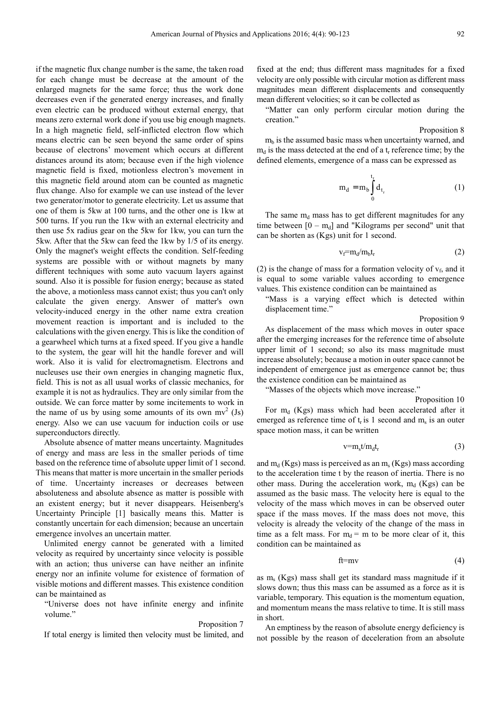if the magnetic flux change number is the same, the taken road for each change must be decrease at the amount of the enlarged magnets for the same force; thus the work done decreases even if the generated energy increases, and finally even electric can be produced without external energy, that means zero external work done if you use big enough magnets. In a high magnetic field, self-inflicted electron flow which means electric can be seen beyond the same order of spins because of electrons' movement which occurs at different distances around its atom; because even if the high violence magnetic field is fixed, motionless electron's movement in this magnetic field around atom can be counted as magnetic flux change. Also for example we can use instead of the lever two generator/motor to generate electricity. Let us assume that one of them is 5kw at 100 turns, and the other one is 1kw at 500 turns. If you run the 1kw with an external electricity and then use 5x radius gear on the 5kw for 1kw, you can turn the 5kw. After that the 5kw can feed the 1kw by 1/5 of its energy. Only the magnet's weight effects the condition. Self-feeding systems are possible with or without magnets by many different techniques with some auto vacuum layers against sound. Also it is possible for fusion energy; because as stated the above, a motionless mass cannot exist; thus you can't only calculate the given energy. Answer of matter's own velocity-induced energy in the other name extra creation movement reaction is important and is included to the calculations with the given energy. This is like the condition of a gearwheel which turns at a fixed speed. If you give a handle to the system, the gear will hit the handle forever and will work. Also it is valid for electromagnetism. Electrons and nucleuses use their own energies in changing magnetic flux, field. This is not as all usual works of classic mechanics, for example it is not as hydraulics. They are only similar from the outside. We can force matter by some incitements to work in the name of us by using some amounts of its own  $mv^2$  (Js) energy. Also we can use vacuum for induction coils or use superconductors directly.

Absolute absence of matter means uncertainty. Magnitudes of energy and mass are less in the smaller periods of time based on the reference time of absolute upper limit of 1 second. This means that matter is more uncertain in the smaller periods of time. Uncertainty increases or decreases between absoluteness and absolute absence as matter is possible with an existent energy; but it never disappears. Heisenberg's Uncertainty Principle [1] basically means this. Matter is constantly uncertain for each dimension; because an uncertain emergence involves an uncertain matter.

Unlimited energy cannot be generated with a limited velocity as required by uncertainty since velocity is possible with an action; thus universe can have neither an infinite energy nor an infinite volume for existence of formation of visible motions and different masses. This existence condition can be maintained as

"Universe does not have infinite energy and infinite volume."

#### Proposition 7

If total energy is limited then velocity must be limited, and

fixed at the end; thus different mass magnitudes for a fixed velocity are only possible with circular motion as different mass magnitudes mean different displacements and consequently mean different velocities; so it can be collected as

"Matter can only perform circular motion during the creation."

Proposition 8  $m_b$  is the assumed basic mass when uncertainty warned, and  $m_d$  is the mass detected at the end of a  $t_r$  reference time; by the defined elements, emergence of a mass can be expressed as

$$
m_d = m_b \int_0^{t_r} d_{t_r}
$$
 (1)

The same  $m_d$  mass has to get different magnitudes for any time between  $[0 - m_d]$  and "Kilograms per second" unit that can be shorten as (Kgs) unit for 1 second.

$$
v_f = m_d / m_b t_r \tag{2}
$$

(2) is the change of mass for a formation velocity of  $v_f$ , and it is equal to some variable values according to emergence values. This existence condition can be maintained as

"Mass is a varying effect which is detected within displacement time."

Proposition 9

As displacement of the mass which moves in outer space after the emerging increases for the reference time of absolute upper limit of 1 second; so also its mass magnitude must increase absolutely; because a motion in outer space cannot be independent of emergence just as emergence cannot be; thus the existence condition can be maintained as

"Masses of the objects which move increase."

Proposition 10 For  $m_d$  (Kgs) mass which had been accelerated after it emerged as reference time of  $t_r$  is 1 second and  $m_s$  is an outer space motion mass, it can be written

$$
v = m_s t / m_d t_r \tag{3}
$$

and  $m_d$  (Kgs) mass is perceived as an  $m_s$  (Kgs) mass according to the acceleration time t by the reason of inertia. There is no other mass. During the acceleration work,  $m_d$  (Kgs) can be assumed as the basic mass. The velocity here is equal to the velocity of the mass which moves in can be observed outer space if the mass moves. If the mass does not move, this velocity is already the velocity of the change of the mass in time as a felt mass. For  $m_d$  = m to be more clear of it, this condition can be maintained as

$$
ft = mv \tag{4}
$$

as m<sup>s</sup> (Kgs) mass shall get its standard mass magnitude if it slows down; thus this mass can be assumed as a force as it is variable, temporary. This equation is the momentum equation, and momentum means the mass relative to time. It is still mass in short.

An emptiness by the reason of absolute energy deficiency is not possible by the reason of deceleration from an absolute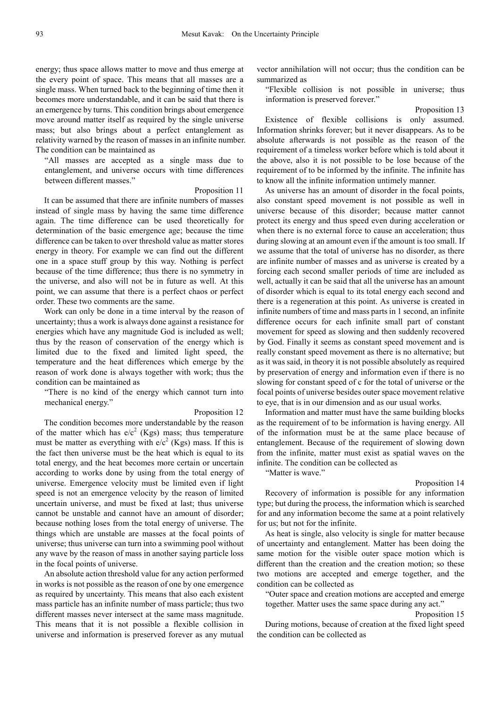energy; thus space allows matter to move and thus emerge at the every point of space. This means that all masses are a single mass. When turned back to the beginning of time then it becomes more understandable, and it can be said that there is an emergence by turns. This condition brings about emergence move around matter itself as required by the single universe mass; but also brings about a perfect entanglement as relativity warned by the reason of masses in an infinite number. The condition can be maintained as

"All masses are accepted as a single mass due to entanglement, and universe occurs with time differences between different masses."

#### Proposition 11

It can be assumed that there are infinite numbers of masses instead of single mass by having the same time difference again. The time difference can be used theoretically for determination of the basic emergence age; because the time difference can be taken to over threshold value as matter stores energy in theory. For example we can find out the different one in a space stuff group by this way. Nothing is perfect because of the time difference; thus there is no symmetry in the universe, and also will not be in future as well. At this point, we can assume that there is a perfect chaos or perfect order. These two comments are the same.

Work can only be done in a time interval by the reason of uncertainty; thus a work is always done against a resistance for energies which have any magnitude God is included as well; thus by the reason of conservation of the energy which is limited due to the fixed and limited light speed, the temperature and the heat differences which emerge by the reason of work done is always together with work; thus the condition can be maintained as

"There is no kind of the energy which cannot turn into mechanical energy."

#### Proposition 12

The condition becomes more understandable by the reason of the matter which has  $e/c^2$  (Kgs) mass; thus temperature must be matter as everything with  $e/c^2$  (Kgs) mass. If this is the fact then universe must be the heat which is equal to its total energy, and the heat becomes more certain or uncertain according to works done by using from the total energy of universe. Emergence velocity must be limited even if light speed is not an emergence velocity by the reason of limited uncertain universe, and must be fixed at last; thus universe cannot be unstable and cannot have an amount of disorder; because nothing loses from the total energy of universe. The things which are unstable are masses at the focal points of universe; thus universe can turn into a swimming pool without any wave by the reason of mass in another saying particle loss in the focal points of universe.

An absolute action threshold value for any action performed in works is not possible as the reason of one by one emergence as required by uncertainty. This means that also each existent mass particle has an infinite number of mass particle; thus two different masses never intersect at the same mass magnitude. This means that it is not possible a flexible collision in universe and information is preserved forever as any mutual vector annihilation will not occur; thus the condition can be summarized as

"Flexible collision is not possible in universe; thus information is preserved forever."

Proposition 13

Existence of flexible collisions is only assumed. Information shrinks forever; but it never disappears. As to be absolute afterwards is not possible as the reason of the requirement of a timeless worker before which is told about it the above, also it is not possible to be lose because of the requirement of to be informed by the infinite. The infınite has to know all the infinite information untimely manner.

As universe has an amount of disorder in the focal points, also constant speed movement is not possible as well in universe because of this disorder; because matter cannot protect its energy and thus speed even during acceleration or when there is no external force to cause an acceleration; thus during slowing at an amount even if the amount is too small. If we assume that the total of universe has no disorder, as there are infinite number of masses and as universe is created by a forcing each second smaller periods of time are included as well, actually it can be said that all the universe has an amount of disorder which is equal to its total energy each second and there is a regeneration at this point. As universe is created in infinite numbers of time and mass parts in 1 second, an infinite difference occurs for each infinite small part of constant movement for speed as slowing and then suddenly recovered by God. Finally it seems as constant speed movement and is really constant speed movement as there is no alternative; but as it was said, in theory it is not possible absolutely as required by preservation of energy and information even if there is no slowing for constant speed of c for the total of universe or the focal points of universe besides outer space movement relative to eye, that is in our dimension and as our usual works.

Information and matter must have the same building blocks as the requirement of to be information is having energy. All of the information must be at the same place because of entanglement. Because of the requirement of slowing down from the infinite, matter must exist as spatial waves on the infinite. The condition can be collected as

### "Matter is wave."

#### Proposition 14

Recovery of information is possible for any information type; but during the process, the information which is searched for and any information become the same at a point relatively for us; but not for the infinite.

As heat is single, also velocity is single for matter because of uncertainty and entanglement. Matter has been doing the same motion for the visible outer space motion which is different than the creation and the creation motion; so these two motions are accepted and emerge together, and the condition can be collected as

"Outer space and creation motions are accepted and emerge together. Matter uses the same space during any act."

Proposition 15

During motions, because of creation at the fixed light speed the condition can be collected as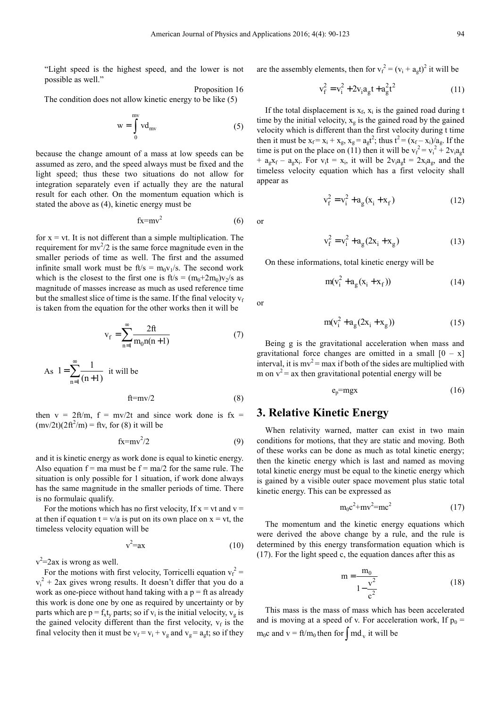"Light speed is the highest speed, and the lower is not possible as well."

Proposition 16 The condition does not allow kinetic energy to be like (5)

$$
w = \int_{0}^{mv} v d_{mv}
$$
 (5)

because the change amount of a mass at low speeds can be assumed as zero, and the speed always must be fixed and the light speed; thus these two situations do not allow for integration separately even if actually they are the natural result for each other. On the momentum equation which is stated the above as (4), kinetic energy must be

$$
fx=mv^2\tag{6}
$$

for  $x = vt$ . It is not different than a simple multiplication. The requirement for  $mv^2/2$  is the same force magnitude even in the smaller periods of time as well. The first and the assumed infinite small work must be  $ft/s = m_0v_1/s$ . The second work which is the closest to the first one is  $ft/s = (m_0 + 2m_0)v_2/s$  as magnitude of masses increase as much as used reference time but the smallest slice of time is the same. If the final velocity  $v_f$ is taken from the equation for the other works then it will be

$$
v_{f} = \sum_{n=1}^{\infty} \frac{2ft}{m_{0}n(n+1)}
$$
(7)

As 
$$
1 = \sum_{n=1}^{\infty} \frac{1}{(n+1)}
$$
 it will be  
  $ft=mv/2$  (8)

then 
$$
v = 2ft/m
$$
,  $f = mv/2t$  and since work done is  $fx = (mv/2t)(2ft^2/m) = ftv$ , for (8) it will be

$$
fx=mv^2/2
$$
 (9)

and it is kinetic energy as work done is equal to kinetic energy. Also equation  $f = ma$  must be  $f = ma/2$  for the same rule. The situation is only possible for 1 situation, if work done always has the same magnitude in the smaller periods of time. There is no formulaic qualify.

For the motions which has no first velocity, If  $x = vt$  and  $v =$ at then if equation  $t = v/a$  is put on its own place on  $x = vt$ , the timeless velocity equation will be

$$
v^2 = ax \tag{10}
$$

 $v^2$ =2ax is wrong as well.

For the motions with first velocity, Torricelli equation  $v_f^2$  =  $v_i^2$  + 2ax gives wrong results. It doesn't differ that you do a work as one-piece without hand taking with a  $p = ft$  as already this work is done one by one as required by uncertainty or by parts which are  $p = f_x t_y$  parts; so if  $v_i$  is the initial velocity,  $v_g$  is the gained velocity different than the first velocity,  $v_f$  is the final velocity then it must be  $v_f = v_i + v_g$  and  $v_g = a_g t$ ; so if they are the assembly elements, then for  $v_f^2 = (v_i + a_g t)^2$  it will be

$$
v_f^2 = v_i^2 + 2v_i a_g t + a_g^2 t^2
$$
 (11)

If the total displacement is  $x_f$ ,  $x_i$  is the gained road during t time by the initial velocity,  $x_g$  is the gained road by the gained velocity which is different than the first velocity during t time then it must be  $x_f = x_i + x_g$ ,  $x_g = a_g t^2$ ; thus  $t^2 = (x_f - x_i)/a_g$ . If the time is put on the place on (11) then it will be  $v_f^2 = v_i^2 + 2v_i a_g t$ +  $a_gx_f - a_gx_i$ . For  $v_i t = x_i$ , it will be  $2v_i a_g t = 2x_i a_g$ , and the timeless velocity equation which has a first velocity shall appear as

$$
v_f^2 = v_i^2 + a_g(x_i + x_f)
$$
 (12)

 $v_f^2 = v_i^2 + a_g (2x_i + x_g)$  (13)

On these informations, total kinetic energy will be

$$
m(v_i^2 + a_g(x_i + x_f))
$$
 (14)

or

or

$$
m(v_i^2 + a_g(2x_i + x_g))
$$
 (15)

Being g is the gravitational acceleration when mass and gravitational force changes are omitted in a small  $[0 - x]$ interval, it is  $mv^2 = max$  if both of the sides are multiplied with m on  $v^2$  = ax then gravitational potential energy will be

$$
e_p = mgx \tag{16}
$$

## **3. Relative Kinetic Energy**

When relativity warned, matter can exist in two main conditions for motions, that they are static and moving. Both of these works can be done as much as total kinetic energy; then the kinetic energy which is last and named as moving total kinetic energy must be equal to the kinetic energy which is gained by a visible outer space movement plus static total kinetic energy. This can be expressed as

$$
m_0c^2 + mv^2 = mc^2 \tag{17}
$$

The momentum and the kinetic energy equations which were derived the above change by a rule, and the rule is determined by this energy transformation equation which is (17). For the light speed c, the equation dances after this as

$$
m = \frac{m_0}{1 - \frac{v^2}{c^2}}
$$
 (18)

This mass is the mass of mass which has been accelerated and is moving at a speed of v. For acceleration work, If  $p_0 =$ m<sub>0</sub>c and v = ft/m<sub>0</sub> then for  $\int$  md<sub>v</sub> it will be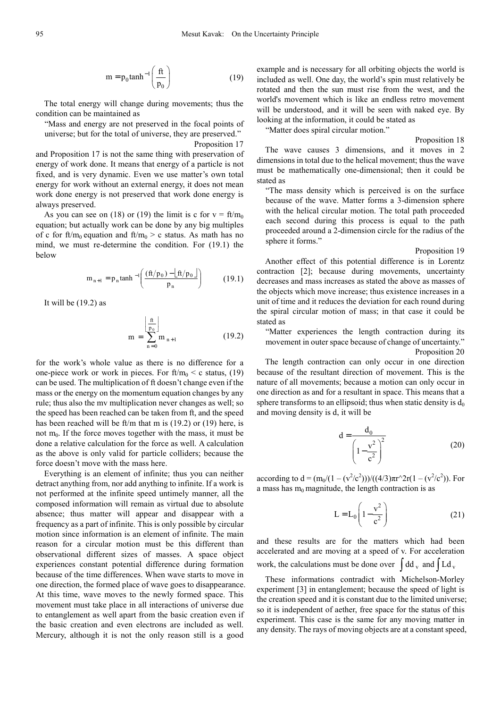$$
m = p_0 \tanh^{-1} \left( \frac{ft}{p_0} \right) \tag{19}
$$

The total energy will change during movements; thus the condition can be maintained as

"Mass and energy are not preserved in the focal points of universe; but for the total of universe, they are preserved."

Proposition 17

and Proposition 17 is not the same thing with preservation of energy of work done. It means that energy of a particle is not fixed, and is very dynamic. Even we use matter's own total energy for work without an external energy, it does not mean work done energy is not preserved that work done energy is always preserved.

As you can see on (18) or (19) the limit is c for  $v = ft/m_0$ equation; but actually work can be done by any big multiples of c for ft/m<sub>0</sub> equation and ft/m<sub>0</sub> > c status. As math has no mind, we must re-determine the condition. For (19.1) the below

$$
m_{n+1} = p_n \tanh^{-1} \left( \frac{(ft/p_0) - \lfloor ft/p_0 \rfloor}{p_n} \right) \tag{19.1}
$$

It will be (19.2) as

$$
m = \sum_{n=0}^{\left\lfloor \frac{ft}{p_0} \right\rfloor} m_{n+1}
$$
 (19.2)

for the work's whole value as there is no difference for a one-piece work or work in pieces. For  $ft/m_0 < c$  status, (19) can be used. The multiplication of ft doesn't change even if the mass or the energy on the momentum equation changes by any rule; thus also the mv multiplication never changes as well; so the speed has been reached can be taken from ft, and the speed has been reached will be ft/m that m is (19.2) or (19) here, is not  $m_0$ . If the force moves together with the mass, it must be done a relative calculation for the force as well. A calculation as the above is only valid for particle colliders; because the force doesn't move with the mass here.

Everything is an element of infinite; thus you can neither detract anything from, nor add anything to infinite. If a work is not performed at the infinite speed untimely manner, all the composed information will remain as virtual due to absolute absence; thus matter will appear and disappear with a frequency as a part of infinite. This is only possible by circular motion since information is an element of infinite. The main reason for a circular motion must be this different than observational different sizes of masses. A space object experiences constant potential difference during formation because of the time differences. When wave starts to move in one direction, the formed place of wave goes to disappearance. At this time, wave moves to the newly formed space. This movement must take place in all interactions of universe due to entanglement as well apart from the basic creation even if the basic creation and even electrons are included as well. Mercury, although it is not the only reason still is a good

example and is necessary for all orbiting objects the world is included as well. One day, the world's spin must relatively be rotated and then the sun must rise from the west, and the world's movement which is like an endless retro movement will be understood, and it will be seen with naked eye. By looking at the information, it could be stated as

"Matter does spiral circular motion."

Proposition 18 The wave causes 3 dimensions, and it moves in 2 dimensions in total due to the helical movement; thus the wave must be mathematically one-dimensional; then it could be stated as

"The mass density which is perceived is on the surface because of the wave. Matter forms a 3-dimension sphere with the helical circular motion. The total path proceeded each second during this process is equal to the path proceeded around a 2-dimension circle for the radius of the sphere it forms."

Proposition 19

Another effect of this potential difference is in Lorentz contraction [2]; because during movements, uncertainty decreases and mass increases as stated the above as masses of the objects which move increase; thus existence increases in a unit of time and it reduces the deviation for each round during the spiral circular motion of mass; in that case it could be stated as

"Matter experiences the length contraction during its movement in outer space because of change of uncertainty." Proposition 20

The length contraction can only occur in one direction because of the resultant direction of movement. This is the nature of all movements; because a motion can only occur in one direction as and for a resultant in space. This means that a sphere transforms to an ellipsoid; thus when static density is  $d_0$ and moving density is d, it will be

$$
d = \frac{d_0}{\left(1 - \frac{v^2}{c^2}\right)^2}
$$
 (20)

according to  $d = (m_0/(1 - (v^2/c^2)))/((4/3)\pi r^2r(1 - (v^2/c^2))$ . For a mass has  $m_0$  magnitude, the length contraction is as

$$
L = L_0 \left( 1 - \frac{v^2}{c^2} \right) \tag{21}
$$

and these results are for the matters which had been accelerated and are moving at a speed of v. For acceleration work, the calculations must be done over  $\int dd_v$  and  $\int Cd_v$ 

These informations contradict with Michelson-Morley experiment [3] in entanglement; because the speed of light is the creation speed and it is constant due to the limited universe; so it is independent of aether, free space for the status of this experiment. This case is the same for any moving matter in any density. The rays of moving objects are at a constant speed,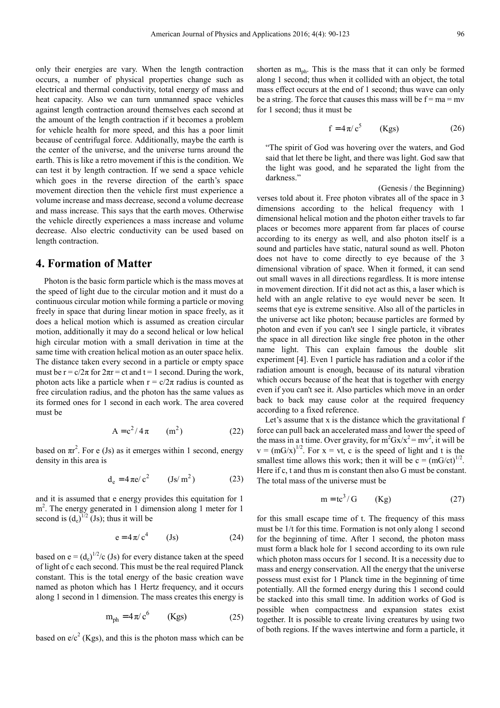only their energies are vary. When the length contraction occurs, a number of physical properties change such as electrical and thermal conductivity, total energy of mass and heat capacity. Also we can turn unmanned space vehicles against length contraction around themselves each second at the amount of the length contraction if it becomes a problem for vehicle health for more speed, and this has a poor limit because of centrifugal force. Additionally, maybe the earth is the center of the universe, and the universe turns around the earth. This is like a retro movement if this is the condition. We can test it by length contraction. If we send a space vehicle which goes in the reverse direction of the earth's space movement direction then the vehicle first must experience a volume increase and mass decrease, second a volume decrease and mass increase. This says that the earth moves. Otherwise the vehicle directly experiences a mass increase and volume decrease. Also electric conductivity can be used based on length contraction.

# **4. Formation of Matter**

Photon is the basic form particle which is the mass moves at the speed of light due to the circular motion and it must do a continuous circular motion while forming a particle or moving freely in space that during linear motion in space freely, as it does a helical motion which is assumed as creation circular motion, additionally it may do a second helical or low helical high circular motion with a small derivation in time at the same time with creation helical motion as an outer space helix. The distance taken every second in a particle or empty space must be  $r = c/2\pi$  for  $2\pi r = ct$  and  $t = 1$  second. During the work, photon acts like a particle when  $r = c/2\pi$  radius is counted as free circulation radius, and the photon has the same values as its formed ones for 1 second in each work. The area covered must be

$$
A = c^2 / 4\pi \qquad (m^2)
$$
 (22)

based on  $\pi r^2$ . For e (Js) as it emerges within 1 second, energy density in this area is

$$
d_e = 4 \pi e / c^2 \qquad (Js/m^2)
$$
 (23)

and it is assumed that e energy provides this equitation for 1 m<sup>2</sup>. The energy generated in 1 dimension along 1 meter for 1 second is  $(d_e)^{1/2}$  (Js); thus it will be

$$
e = 4\pi/c^4 \qquad (Js)
$$
 (24)

based on  $e = (d_e)^{1/2}/c$  (Js) for every distance taken at the speed of light of c each second. This must be the real required Planck constant. This is the total energy of the basic creation wave named as photon which has 1 Hertz frequency, and it occurs along 1 second in 1 dimension. The mass creates this energy is

$$
m_{ph} = 4\pi/c^6 \qquad (Kgs)
$$
 (25)

based on  $e/c^2$  (Kgs), and this is the photon mass which can be

shorten as  $m_{\text{ph}}$ . This is the mass that it can only be formed along 1 second; thus when it collided with an object, the total mass effect occurs at the end of 1 second; thus wave can only be a string. The force that causes this mass will be  $f = ma = mv$ for 1 second; thus it must be

$$
f = 4\pi/c^5 \qquad (Kgs) \tag{26}
$$

"The spirit of God was hovering over the waters, and God said that let there be light, and there was light. God saw that the light was good, and he separated the light from the darkness."

(Genesis / the Beginning)

verses told about it. Free photon vibrates all of the space in 3 dimensions according to the helical frequency with 1 dimensional helical motion and the photon either travels to far places or becomes more apparent from far places of course according to its energy as well, and also photon itself is a sound and particles have static, natural sound as well. Photon does not have to come directly to eye because of the 3 dimensional vibration of space. When it formed, it can send out small waves in all directions regardless. It is more intense in movement direction. If it did not act as this, a laser which is held with an angle relative to eye would never be seen. It seems that eye is extreme sensitive. Also all of the particles in the universe act like photon; because particles are formed by photon and even if you can't see 1 single particle, it vibrates the space in all direction like single free photon in the other name light. This can explain famous the double slit experiment [4]. Even 1 particle has radiation and a color if the radiation amount is enough, because of its natural vibration which occurs because of the heat that is together with energy even if you can't see it. Also particles which move in an order back to back may cause color at the required frequency according to a fixed reference.

Let's assume that x is the distance which the gravitational f force can pull back an accelerated mass and lower the speed of the mass in a t time. Over gravity, for  $m^2Gx/x^2 = mv^2$ , it will be  $v = (mG/x)^{1/2}$ . For  $x = vt$ , c is the speed of light and t is the smallest time allows this work; then it will be  $c = (mG/ct)^{1/2}$ . Here if c, t and thus m is constant then also G must be constant. The total mass of the universe must be

$$
m = te3/G \t(Kg) \t(27)
$$

for this small escape time of t. The frequency of this mass must be 1/t for this time. Formation is not only along 1 second for the beginning of time. After 1 second, the photon mass must form a black hole for 1 second according to its own rule which photon mass occurs for 1 second. It is a necessity due to mass and energy conservation. All the energy that the universe possess must exist for 1 Planck time in the beginning of time potentially. All the formed energy during this 1 second could be stacked into this small time. In addition works of God is possible when compactness and expansion states exist together. It is possible to create living creatures by using two of both regions. If the waves intertwine and form a particle, it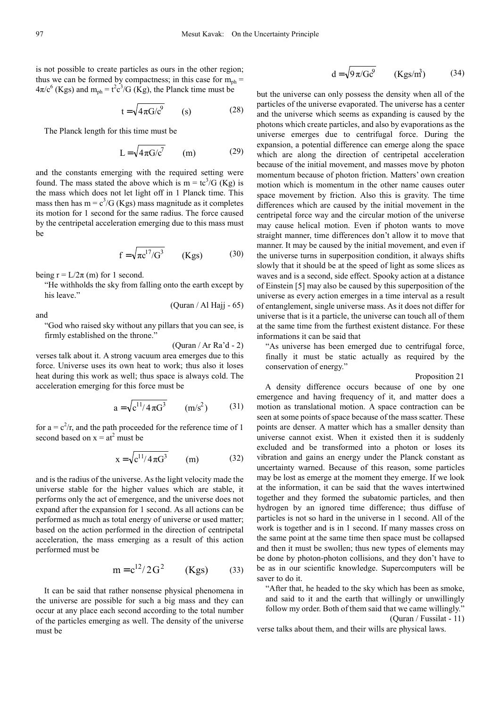is not possible to create particles as ours in the other region; thus we can be formed by compactness; in this case for  $m_{ph}$  =  $4\pi/c^6$  (Kgs) and  $m_{ph} = t^2 c^3/G$  (Kg), the Planck time must be

$$
t = \sqrt{4\pi G/c^9} \qquad (s) \qquad (28)
$$

The Planck length for this time must be

$$
L = \sqrt{4\pi G/c^7} \qquad (m) \tag{29}
$$

and the constants emerging with the required setting were found. The mass stated the above which is  $m = \frac{tc^3}{G}$  (Kg) is the mass which does not let light off in 1 Planck time. This mass then has  $m = c<sup>3</sup>/G$  (Kgs) mass magnitude as it completes its motion for 1 second for the same radius. The force caused by the centripetal acceleration emerging due to this mass must be

$$
f = \sqrt{\pi c^{17}/G^3} \qquad (Kgs) \tag{30}
$$

being  $r = L/2\pi$  (m) for 1 second.

"He withholds the sky from falling onto the earth except by his leave."

and

"God who raised sky without any pillars that you can see, is firmly established on the throne."

(Quran / Ar Ra'd - 2)

(Quran / Al Hajj - 65)

verses talk about it. A strong vacuum area emerges due to this force. Universe uses its own heat to work; thus also it loses heat during this work as well; thus space is always cold. The acceleration emerging for this force must be

$$
a = \sqrt{c^{11}/4\pi G^3} \qquad (m/s^2)
$$
 (31)

for  $a = c^2/r$ , and the path proceeded for the reference time of 1 second based on  $x = at^2$  must be

$$
x = \sqrt{c^{11}/4\pi G^3}
$$
 (m) (32)

and is the radius of the universe. As the light velocity made the universe stable for the higher values which are stable, it performs only the act of emergence, and the universe does not expand after the expansion for 1 second. As all actions can be performed as much as total energy of universe or used matter; based on the action performed in the direction of centripetal acceleration, the mass emerging as a result of this action performed must be

$$
m = c^{12}/2G^2
$$
 (Kgs) (33)

It can be said that rather nonsense physical phenomena in the universe are possible for such a big mass and they can occur at any place each second according to the total number of the particles emerging as well. The density of the universe must be

$$
d = \sqrt{9\pi/Gc^9} \qquad (Kgs/m^3)
$$
 (34)

but the universe can only possess the density when all of the particles of the universe evaporated. The universe has a center and the universe which seems as expanding is caused by the photons which create particles, and also by evaporations as the universe emerges due to centrifugal force. During the expansion, a potential difference can emerge along the space which are along the direction of centripetal acceleration because of the initial movement, and masses move by photon momentum because of photon friction. Matters' own creation motion which is momentum in the other name causes outer space movement by friction. Also this is gravity. The time differences which are caused by the initial movement in the centripetal force way and the circular motion of the universe may cause helical motion. Even if photon wants to move straight manner, time differences don't allow it to move that manner. It may be caused by the initial movement, and even if the universe turns in superposition condition, it always shifts slowly that it should be at the speed of light as some slices as waves and is a second, side effect. Spooky action at a distance of Einstein [5] may also be caused by this superposition of the universe as every action emerges in a time interval as a result of entanglement, single universe mass. As it does not differ for universe that is it a particle, the universe can touch all of them at the same time from the furthest existent distance. For these informations it can be said that

"As universe has been emerged due to centrifugal force, finally it must be static actually as required by the conservation of energy."

#### Proposition 21

A density difference occurs because of one by one emergence and having frequency of it, and matter does a motion as translational motion. A space contraction can be seen at some points of space because of the mass scatter. These points are denser. A matter which has a smaller density than universe cannot exist. When it existed then it is suddenly excluded and be transformed into a photon or loses its vibration and gains an energy under the Planck constant as uncertainty warned. Because of this reason, some particles may be lost as emerge at the moment they emerge. If we look at the information, it can be said that the waves intertwined together and they formed the subatomic particles, and then hydrogen by an ignored time difference; thus diffuse of particles is not so hard in the universe in 1 second. All of the work is together and is in 1 second. If many masses cross on the same point at the same time then space must be collapsed and then it must be swollen; thus new types of elements may be done by photon-photon collisions, and they don't have to be as in our scientific knowledge. Supercomputers will be saver to do it.

"After that, he headed to the sky which has been as smoke, and said to it and the earth that willingly or unwillingly follow my order. Both of them said that we came willingly." (Quran / Fussilat - 11)

verse talks about them, and their wills are physical laws.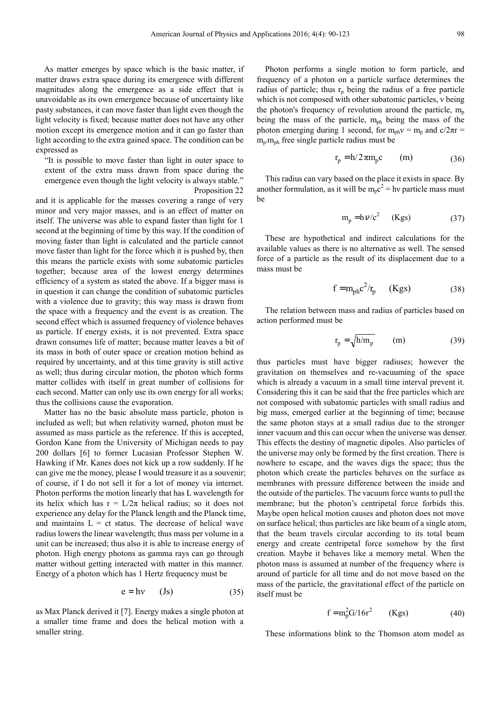As matter emerges by space which is the basic matter, if matter draws extra space during its emergence with different magnitudes along the emergence as a side effect that is unavoidable as its own emergence because of uncertainty like pasty substances, it can move faster than light even though the light velocity is fixed; because matter does not have any other motion except its emergence motion and it can go faster than light according to the extra gained space. The condition can be expressed as

"It is possible to move faster than light in outer space to extent of the extra mass drawn from space during the emergence even though the light velocity is always stable." Proposition 22

and it is applicable for the masses covering a range of very minor and very major masses, and is an effect of matter on itself. The universe was able to expand faster than light for 1 second at the beginning of time by this way. If the condition of moving faster than light is calculated and the particle cannot move faster than light for the force which it is pushed by, then this means the particle exists with some subatomic particles together; because area of the lowest energy determines efficiency of a system as stated the above. If a bigger mass is in question it can change the condition of subatomic particles with a violence due to gravity; this way mass is drawn from the space with a frequency and the event is as creation. The second effect which is assumed frequency of violence behaves as particle. If energy exists, it is not prevented. Extra space drawn consumes life of matter; because matter leaves a bit of its mass in both of outer space or creation motion behind as required by uncertainty, and at this time gravity is still active as well; thus during circular motion, the photon which forms matter collides with itself in great number of collisions for each second. Matter can only use its own energy for all works; thus the collisions cause the evaporation.

Matter has no the basic absolute mass particle, photon is included as well; but when relativity warned, photon must be assumed as mass particle as the reference. If this is accepted, Gordon Kane from the University of Michigan needs to pay 200 dollars [6] to former Lucasian Professor Stephen W. Hawking if Mr. Kanes does not kick up a row suddenly. If he can give me the money, please I would treasure it as a souvenir; of course, if I do not sell it for a lot of money via internet. Photon performs the motion linearly that has L wavelength for its helix which has  $r = L/2\pi$  helical radius; so it does not experience any delay for the Planck length and the Planck time, and maintains  $L = ct$  status. The decrease of helical wave radius lowers the linear wavelength; thus mass per volume in a unit can be increased; thus also it is able to increase energy of photon. High energy photons as gamma rays can go through matter without getting interacted with matter in this manner. Energy of a photon which has 1 Hertz frequency must be

$$
e = hv \t (Js) \t (35)
$$

as Max Planck derived it [7]. Energy makes a single photon at a smaller time frame and does the helical motion with a smaller string.

Photon performs a single motion to form particle, and frequency of a photon on a particle surface determines the radius of particle; thus  $r_p$  being the radius of a free particle which is not composed with other subatomic particles, ν being the photon's frequency of revolution around the particle,  $m_p$ being the mass of the particle,  $m_{ph}$  being the mass of the photon emerging during 1 second, for  $m_{ph}v = m_p$  and  $c/2\pi r =$  $m_{\text{p}}/m_{\text{ph}}$  free single particle radius must be

$$
r_p = h/2\pi m_p c \qquad (m) \qquad (36)
$$

This radius can vary based on the place it exists in space. By another formulation, as it will be  $m_p c^2 = h\nu$  particle mass must be

$$
m_p = h \nu/c^2 \quad (Kgs) \tag{37}
$$

These are hypothetical and indirect calculations for the available values as there is no alternative as well. The sensed force of a particle as the result of its displacement due to a mass must be

$$
f = m_{ph} c^2 / r_p \qquad (Kgs) \tag{38}
$$

The relation between mass and radius of particles based on action performed must be

$$
r_p = \sqrt{h/m_p} \qquad (m) \qquad (39)
$$

thus particles must have bigger radiuses; however the gravitation on themselves and re-vacuuming of the space which is already a vacuum in a small time interval prevent it. Considering this it can be said that the free particles which are not composed with subatomic particles with small radius and big mass, emerged earlier at the beginning of time; because the same photon stays at a small radius due to the stronger inner vacuum and this can occur when the universe was denser. This effects the destiny of magnetic dipoles. Also particles of the universe may only be formed by the first creation. There is nowhere to escape, and the waves digs the space; thus the photon which create the particles behaves on the surface as membranes with pressure difference between the inside and the outside of the particles. The vacuum force wants to pull the membrane; but the photon's centripetal force forbids this. Maybe open helical motion causes and photon does not move on surface helical; thus particles are like beam of a single atom, that the beam travels circular according to its total beam energy and create centripetal force somehow by the first creation. Maybe it behaves like a memory metal. When the photon mass is assumed at number of the frequency where is around of particle for all time and do not move based on the mass of the particle, the gravitational effect of the particle on itself must be

$$
f = m_p^2 G / 16r^2 \qquad (Kgs) \tag{40}
$$

These informations blink to the Thomson atom model as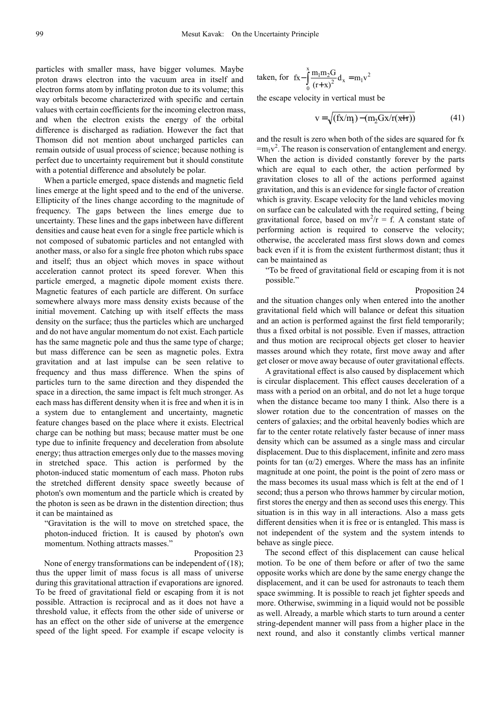particles with smaller mass, have bigger volumes. Maybe proton draws electron into the vacuum area in itself and electron forms atom by inflating proton due to its volume; this way orbitals become characterized with specific and certain values with certain coefficients for the incoming electron mass, and when the electron exists the energy of the orbital difference is discharged as radiation. However the fact that Thomson did not mention about uncharged particles can remain outside of usual process of science; because nothing is perfect due to uncertainty requirement but it should constitute with a potential difference and absolutely be polar.

When a particle emerged, space distends and magnetic field lines emerge at the light speed and to the end of the universe. Ellipticity of the lines change according to the magnitude of frequency. The gaps between the lines emerge due to uncertainty. These lines and the gaps inbetween have different densities and cause heat even for a single free particle which is not composed of subatomic particles and not entangled with another mass, or also for a single free photon which rubs space and itself; thus an object which moves in space without acceleration cannot protect its speed forever. When this particle emerged, a magnetic dipole moment exists there. Magnetic features of each particle are different. On surface somewhere always more mass density exists because of the initial movement. Catching up with itself effects the mass density on the surface; thus the particles which are uncharged and do not have angular momentum do not exist. Each particle has the same magnetic pole and thus the same type of charge; but mass difference can be seen as magnetic poles. Extra gravitation and at last impulse can be seen relative to frequency and thus mass difference. When the spins of particles turn to the same direction and they dispended the space in a direction, the same impact is felt much stronger. As each mass has different density when it is free and when it is in a system due to entanglement and uncertainty, magnetic feature changes based on the place where it exists. Electrical charge can be nothing but mass; because matter must be one type due to infinite frequency and deceleration from absolute energy; thus attraction emerges only due to the masses moving in stretched space. This action is performed by the photon-induced static momentum of each mass. Photon rubs the stretched different density space sweetly because of photon's own momentum and the particle which is created by the photon is seen as be drawn in the distention direction; thus it can be maintained as

"Gravitation is the will to move on stretched space, the photon-induced friction. It is caused by photon's own momentum. Nothing attracts masses."

#### Proposition 23

None of energy transformations can be independent of (18); thus the upper limit of mass focus is all mass of universe during this gravitational attraction if evaporations are ignored. To be freed of gravitational field or escaping from it is not possible. Attraction is reciprocal and as it does not have a threshold value, it effects from the other side of universe or has an effect on the other side of universe at the emergence speed of the light speed. For example if escape velocity is

taken, for 
$$
f x - \int_{0}^{x} \frac{m_1 m_2 G}{(r+x)^2} d_x = m_1 v^2
$$

the escape velocity in vertical must be

$$
v = \sqrt{(fx/m) - (m_2Gx/r(x+r))}
$$
 (41)

and the result is zero when both of the sides are squared for fx  $=m_1v^2$ . The reason is conservation of entanglement and energy. When the action is divided constantly forever by the parts which are equal to each other, the action performed by gravitation closes to all of the actions performed against gravitation, and this is an evidence for single factor of creation which is gravity. Escape velocity for the land vehicles moving on surface can be calculated with the required setting, f being gravitational force, based on  $mv^2/r = f$ . A constant state of performing action is required to conserve the velocity; otherwise, the accelerated mass first slows down and comes back even if it is from the existent furthermost distant; thus it can be maintained as

"To be freed of gravitational field or escaping from it is not possible."

Proposition 24

and the situation changes only when entered into the another gravitational field which will balance or defeat this situation and an action is performed against the first field temporarily; thus a fixed orbital is not possible. Even if masses, attraction and thus motion are reciprocal objects get closer to heavier masses around which they rotate, first move away and after get closer or move away because of outer gravitational effects.

A gravitational effect is also caused by displacement which is circular displacement. This effect causes deceleration of a mass with a period on an orbital, and do not let a huge torque when the distance became too many I think. Also there is a slower rotation due to the concentration of masses on the centers of galaxies; and the orbital heavenly bodies which are far to the center rotate relatively faster because of inner mass density which can be assumed as a single mass and circular displacement. Due to this displacement, infinite and zero mass points for tan  $(\alpha/2)$  emerges. Where the mass has an infinite magnitude at one point, the point is the point of zero mass or the mass becomes its usual mass which is felt at the end of 1 second; thus a person who throws hammer by circular motion, first stores the energy and then as second uses this energy. This situation is in this way in all interactions. Also a mass gets different densities when it is free or is entangled. This mass is not independent of the system and the system intends to behave as single piece.

The second effect of this displacement can cause helical motion. To be one of them before or after of two the same opposite works which are done by the same energy change the displacement, and it can be used for astronauts to teach them space swimming. It is possible to reach jet fighter speeds and more. Otherwise, swimming in a liquid would not be possible as well. Already, a marble which starts to turn around a center string-dependent manner will pass from a higher place in the next round, and also it constantly climbs vertical manner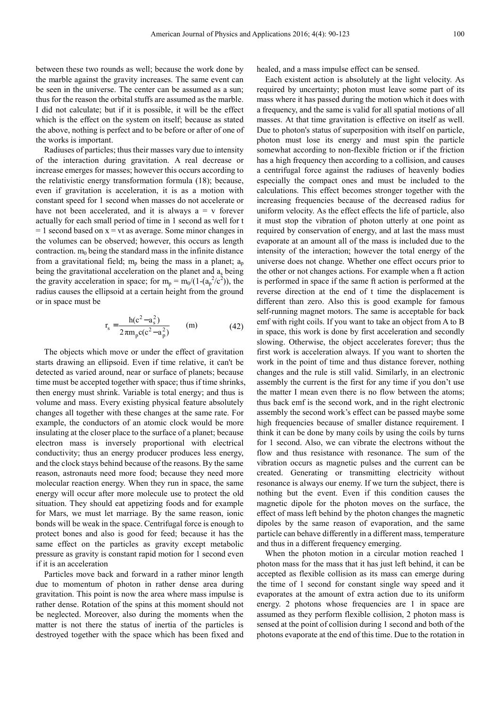between these two rounds as well; because the work done by the marble against the gravity increases. The same event can be seen in the universe. The center can be assumed as a sun; thus for the reason the orbital stuffs are assumed as the marble. I did not calculate; but if it is possible, it will be the effect which is the effect on the system on itself; because as stated the above, nothing is perfect and to be before or after of one of the works is important.

Radiuses of particles; thus their masses vary due to intensity of the interaction during gravitation. A real decrease or increase emerges for masses; however this occurs according to the relativistic energy transformation formula (18); because, even if gravitation is acceleration, it is as a motion with constant speed for 1 second when masses do not accelerate or have not been accelerated, and it is always  $a = v$  forever actually for each small period of time in 1 second as well for t  $= 1$  second based on  $x = vt$  as average. Some minor changes in the volumes can be observed; however, this occurs as length contraction.  $m_0$  being the standard mass in the infinite distance from a gravitational field;  $m_p$  being the mass in a planet;  $a_p$ being the gravitational acceleration on the planet and a<sub>s</sub> being the gravity acceleration in space; for  $m_p = m_0/(1-(a_p^2/c^2))$ , the radius causes the ellipsoid at a certain height from the ground or in space must be

$$
r_s = \frac{h(c^2 - a_s^2)}{2\pi m_p c(c^2 - a_p^2)}
$$
 (m) (42)

The objects which move or under the effect of gravitation starts drawing an ellipsoid. Even if time relative, it can't be detected as varied around, near or surface of planets; because time must be accepted together with space; thus if time shrinks, then energy must shrink. Variable is total energy; and thus is volume and mass. Every existing physical feature absolutely changes all together with these changes at the same rate. For example, the conductors of an atomic clock would be more insulating at the closer place to the surface of a planet; because electron mass is inversely proportional with electrical conductivity; thus an energy producer produces less energy, and the clock stays behind because of the reasons. By the same reason, astronauts need more food; because they need more molecular reaction energy. When they run in space, the same energy will occur after more molecule use to protect the old situation. They should eat appetizing foods and for example for Mars, we must let marriage. By the same reason, ionic bonds will be weak in the space. Centrifugal force is enough to protect bones and also is good for feed; because it has the same effect on the particles as gravity except metabolic pressure as gravity is constant rapid motion for 1 second even if it is an acceleration

Particles move back and forward in a rather minor length due to momentum of photon in rather dense area during gravitation. This point is now the area where mass impulse is rather dense. Rotation of the spins at this moment should not be neglected. Moreover, also during the moments when the matter is not there the status of inertia of the particles is destroyed together with the space which has been fixed and

healed, and a mass impulse effect can be sensed.

Each existent action is absolutely at the light velocity. As required by uncertainty; photon must leave some part of its mass where it has passed during the motion which it does with a frequency, and the same is valid for all spatial motions of all masses. At that time gravitation is effective on itself as well. Due to photon's status of superposition with itself on particle, photon must lose its energy and must spin the particle somewhat according to non-flexible friction or if the friction has a high frequency then according to a collision, and causes a centrifugal force against the radiuses of heavenly bodies especially the compact ones and must be included to the calculations. This effect becomes stronger together with the increasing frequencies because of the decreased radius for uniform velocity. As the effect effects the life of particle, also it must stop the vibration of photon utterly at one point as required by conservation of energy, and at last the mass must evaporate at an amount all of the mass is included due to the intensity of the interaction; however the total energy of the universe does not change. Whether one effect occurs prior to the other or not changes actions. For example when a ft action is performed in space if the same ft action is performed at the reverse direction at the end of t time the displacement is different than zero. Also this is good example for famous self-running magnet motors. The same is acceptable for back emf with right coils. If you want to take an object from A to B in space, this work is done by first acceleration and secondly slowing. Otherwise, the object accelerates forever; thus the first work is acceleration always. If you want to shorten the work in the point of time and thus distance forever, nothing changes and the rule is still valid. Similarly, in an electronic assembly the current is the first for any time if you don't use the matter I mean even there is no flow between the atoms; thus back emf is the second work, and in the right electronic assembly the second work's effect can be passed maybe some high frequencies because of smaller distance requirement. I think it can be done by many coils by using the coils by turns for 1 second. Also, we can vibrate the electrons without the flow and thus resistance with resonance. The sum of the vibration occurs as magnetic pulses and the current can be created. Generating or transmitting electricity without resonance is always our enemy. If we turn the subject, there is nothing but the event. Even if this condition causes the magnetic dipole for the photon moves on the surface, the effect of mass left behind by the photon changes the magnetic dipoles by the same reason of evaporation, and the same particle can behave differently in a different mass, temperature and thus in a different frequency emerging.

When the photon motion in a circular motion reached 1 photon mass for the mass that it has just left behind, it can be accepted as flexible collision as its mass can emerge during the time of 1 second for constant single way speed and it evaporates at the amount of extra action due to its uniform energy. 2 photons whose frequencies are 1 in space are assumed as they perform flexible collision, 2 photon mass is sensed at the point of collision during 1 second and both of the photons evaporate at the end of this time. Due to the rotation in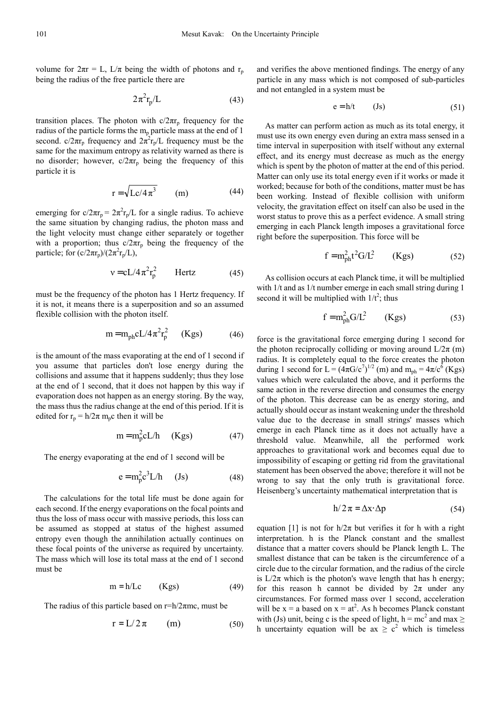volume for  $2\pi r = L$ ,  $L/\pi$  being the width of photons and r<sub>p</sub> being the radius of the free particle there are

$$
2\pi^2 r_p/L\tag{43}
$$

transition places. The photon with  $c/2\pi r_p$  frequency for the radius of the particle forms the  $m_p$  particle mass at the end of 1 second.  $c/2\pi r_p$  frequency and  $2\pi^2 r_p/L$  frequency must be the same for the maximum entropy as relativity warned as there is no disorder; however,  $c/2\pi r_p$  being the frequency of this particle it is

$$
r = \sqrt{Lc/4\pi^3} \qquad (m) \tag{44}
$$

emerging for  $c/2\pi r_p = 2\pi^2 r_p/L$  for a single radius. To achieve the same situation by changing radius, the photon mass and the light velocity must change either separately or together with a proportion; thus  $c/2\pi r_p$  being the frequency of the particle; for  $(c/2\pi r_p)/(2\pi^2 r_p/L)$ ,

$$
v = cL/4\pi^2 r_p^2
$$
 Hertz (45)

must be the frequency of the photon has 1 Hertz frequency. If it is not, it means there is a superposition and so an assumed flexible collision with the photon itself.

$$
m = m_{ph}cL/4\pi^2r_p^2 \qquad (Kgs)
$$
 (46)

is the amount of the mass evaporating at the end of 1 second if you assume that particles don't lose energy during the collisions and assume that it happens suddenly; thus they lose at the end of 1 second, that it does not happen by this way if evaporation does not happen as an energy storing. By the way, the mass thus the radius change at the end of this period. If it is edited for  $r_p = h/2\pi$  m<sub>p</sub>c then it will be

$$
m = m_p^2 cL/h \t(Kgs) \t(47)
$$

The energy evaporating at the end of 1 second will be

$$
e = m_p^2 c^3 L/h \qquad (Js)
$$
 (48)

The calculations for the total life must be done again for each second. If the energy evaporations on the focal points and thus the loss of mass occur with massive periods, this loss can be assumed as stopped at status of the highest assumed entropy even though the annihilation actually continues on these focal points of the universe as required by uncertainty. The mass which will lose its total mass at the end of 1 second must be

$$
m = h/Lc \t(Kgs) \t(49)
$$

The radius of this particle based on  $r=h/2\pi m c$ , must be

$$
r = L/2\pi \qquad (m) \qquad (50)
$$

and verifies the above mentioned findings. The energy of any particle in any mass which is not composed of sub-particles and not entangled in a system must be

$$
e = h/t \qquad (Js)
$$
 (51)

As matter can perform action as much as its total energy, it must use its own energy even during an extra mass sensed in a time interval in superposition with itself without any external effect, and its energy must decrease as much as the energy which is spent by the photon of matter at the end of this period. Matter can only use its total energy even if it works or made it worked; because for both of the conditions, matter must be has been working. Instead of flexible collision with uniform velocity, the gravitation effect on itself can also be used in the worst status to prove this as a perfect evidence. A small string emerging in each Planck length imposes a gravitational force right before the superposition. This force will be

$$
f = m_{\rm ph}^2 t^2 G/L^2 \qquad \text{(Kgs)} \tag{52}
$$

As collision occurs at each Planck time, it will be multiplied with  $1/t$  and as  $1/t$  number emerge in each small string during 1 second it will be multiplied with  $1/t^2$ ; thus

$$
f = m_{ph}^2 G/L^2 \qquad (Kgs) \tag{53}
$$

force is the gravitational force emerging during 1 second for the photon reciprocally colliding or moving around  $L/2\pi$  (m) radius. It is completely equal to the force creates the photon during 1 second for  $L = (4\pi G/c^7)^{1/2}$  (m) and  $m_{ph} = 4\pi/c^6$  (Kgs) values which were calculated the above, and it performs the same action in the reverse direction and consumes the energy of the photon. This decrease can be as energy storing, and actually should occur as instant weakening under the threshold value due to the decrease in small strings' masses which emerge in each Planck time as it does not actually have a threshold value. Meanwhile, all the performed work approaches to gravitational work and becomes equal due to impossibility of escaping or getting rid from the gravitational statement has been observed the above; therefore it will not be wrong to say that the only truth is gravitational force. Heisenberg's uncertainty mathematical interpretation that is

$$
h/2\pi = \Delta x \cdot \Delta p \tag{54}
$$

equation [1] is not for  $h/2\pi$  but verifies it for h with a right interpretation. h is the Planck constant and the smallest distance that a matter covers should be Planck length L. The smallest distance that can be taken is the circumference of a circle due to the circular formation, and the radius of the circle is  $L/2\pi$  which is the photon's wave length that has h energy; for this reason h cannot be divided by  $2\pi$  under any circumstances. For formed mass over 1 second, acceleration will be  $x = a$  based on  $x = at^2$ . As h becomes Planck constant with (Js) unit, being c is the speed of light,  $h = mc^2$  and max  $\ge$ h uncertainty equation will be ax  $\geq c^2$  which is timeless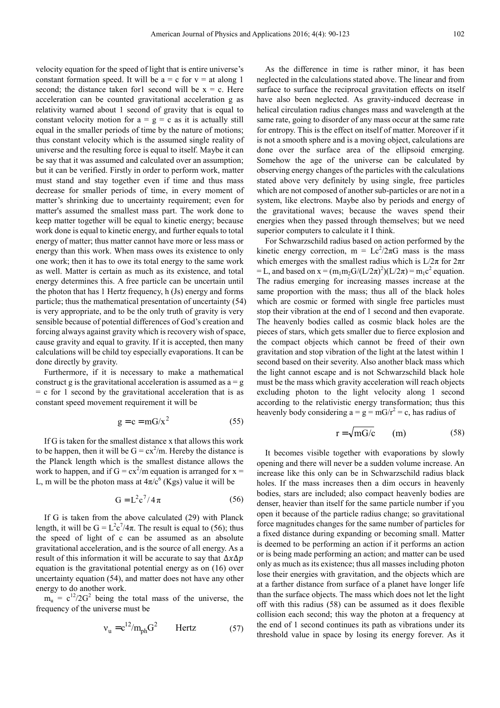velocity equation for the speed of light that is entire universe's constant formation speed. It will be  $a = c$  for  $v = at along 1$ second; the distance taken for l second will be  $x = c$ . Here acceleration can be counted gravitational acceleration g as relativity warned about 1 second of gravity that is equal to constant velocity motion for  $a = g = c$  as it is actually still equal in the smaller periods of time by the nature of motions; thus constant velocity which is the assumed single reality of universe and the resulting force is equal to itself. Maybe it can be say that it was assumed and calculated over an assumption; but it can be verified. Firstly in order to perform work, matter must stand and stay together even if time and thus mass decrease for smaller periods of time, in every moment of matter's shrinking due to uncertainty requirement; even for matter's assumed the smallest mass part. The work done to keep matter together will be equal to kinetic energy; because work done is equal to kinetic energy, and further equals to total energy of matter; thus matter cannot have more or less mass or energy than this work. When mass owes its existence to only one work; then it has to owe its total energy to the same work as well. Matter is certain as much as its existence, and total energy determines this. A free particle can be uncertain until the photon that has 1 Hertz frequency, h (Js) energy and forms particle; thus the mathematical presentation of uncertainty (54) is very appropriate, and to be the only truth of gravity is very sensible because of potential differences of God's creation and forcing always against gravity which is recovery wish of space, cause gravity and equal to gravity. If it is accepted, then many calculations will be child toy especially evaporations. It can be done directly by gravity.

Furthermore, if it is necessary to make a mathematical construct g is the gravitational acceleration is assumed as  $a = g$  $= c$  for 1 second by the gravitational acceleration that is as constant speed movement requirement it will be

$$
g = c = mG/x^2 \tag{55}
$$

If G is taken for the smallest distance x that allows this work to be happen, then it will be  $G = cx^2/m$ . Hereby the distance is the Planck length which is the smallest distance allows the work to happen, and if  $G = cx^2/m$  equation is arranged for  $x =$ L, m will be the photon mass at  $4\pi/c^6$  (Kgs) value it will be

$$
G = L2c7/4\pi
$$
 (56)

If G is taken from the above calculated (29) with Planck length, it will be  $G = L^2c^7/4\pi$ . The result is equal to (56); thus the speed of light of c can be assumed as an absolute gravitational acceleration, and is the source of all energy. As a result of this information it will be accurate to say that  $\Delta x \Delta p$ equation is the gravitational potential energy as on (16) over uncertainty equation (54), and matter does not have any other energy to do another work.

 $m_u = c^{12}/2G^2$  being the total mass of the universe, the frequency of the universe must be

$$
v_{u} = c^{12}/m_{ph}G^{2} \qquad \text{Hertz} \tag{57}
$$

As the difference in time is rather minor, it has been neglected in the calculations stated above. The linear and from surface to surface the reciprocal gravitation effects on itself have also been neglected. As gravity-induced decrease in helical circulation radius changes mass and wavelength at the same rate, going to disorder of any mass occur at the same rate for entropy. This is the effect on itself of matter. Moreover if it is not a smooth sphere and is a moving object, calculations are done over the surface area of the ellipsoid emerging. Somehow the age of the universe can be calculated by observing energy changes of the particles with the calculations stated above very definitely by using single, free particles which are not composed of another sub-particles or are not in a system, like electrons. Maybe also by periods and energy of the gravitational waves; because the waves spend their energies when they passed through themselves; but we need superior computers to calculate it I think.

For Schwarzschild radius based on action performed by the kinetic energy correction,  $m = Lc^2/2\pi G$  mass is the mass which emerges with the smallest radius which is  $L/2\pi$  for  $2\pi r$ = L, and based on  $x = (m_1m_2G/(L/2\pi)^2)(L/2\pi) = m_1c^2$  equation. The radius emerging for increasing masses increase at the same proportion with the mass; thus all of the black holes which are cosmic or formed with single free particles must stop their vibration at the end of 1 second and then evaporate. The heavenly bodies called as cosmic black holes are the pieces of stars, which gets smaller due to fierce explosion and the compact objects which cannot be freed of their own gravitation and stop vibration of the light at the latest within 1 second based on their severity. Also another black mass which the light cannot escape and is not Schwarzschild black hole must be the mass which gravity acceleration will reach objects excluding photon to the light velocity along 1 second according to the relativistic energy transformation; thus this heavenly body considering  $a = g = mG/r^2 = c$ , has radius of

$$
r = \sqrt{mG/c} \qquad (m) \tag{58}
$$

It becomes visible together with evaporations by slowly opening and there will never be a sudden volume increase. An increase like this only can be in Schwarzschild radius black holes. If the mass increases then a dim occurs in heavenly bodies, stars are included; also compact heavenly bodies are denser, heavier than itself for the same particle number if you open it because of the particle radius change; so gravitational force magnitudes changes for the same number of particles for a fixed distance during expanding or becoming small. Matter is deemed to be performing an action if it performs an action or is being made performing an action; and matter can be used only as much as its existence; thus all masses including photon lose their energies with gravitation, and the objects which are at a farther distance from surface of a planet have longer life than the surface objects. The mass which does not let the light off with this radius (58) can be assumed as it does flexible collision each second; this way the photon at a frequency at the end of 1 second continues its path as vibrations under its threshold value in space by losing its energy forever. As it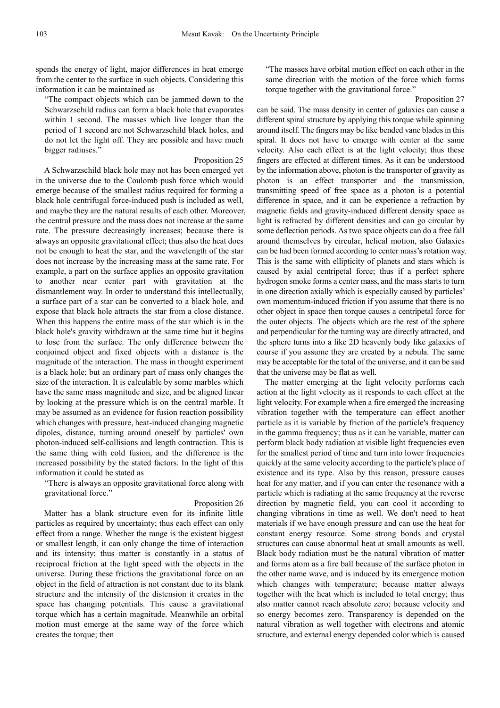spends the energy of light, major differences in heat emerge from the center to the surface in such objects. Considering this information it can be maintained as

"The compact objects which can be jammed down to the Schwarzschild radius can form a black hole that evaporates within 1 second. The masses which live longer than the period of 1 second are not Schwarzschild black holes, and do not let the light off. They are possible and have much bigger radiuses."

#### Proposition 25

A Schwarzschild black hole may not has been emerged yet in the universe due to the Coulomb push force which would emerge because of the smallest radius required for forming a black hole centrifugal force-induced push is included as well, and maybe they are the natural results of each other. Moreover, the central pressure and the mass does not increase at the same rate. The pressure decreasingly increases; because there is always an opposite gravitational effect; thus also the heat does not be enough to heat the star, and the wavelength of the star does not increase by the increasing mass at the same rate. For example, a part on the surface applies an opposite gravitation to another near center part with gravitation at the dismantlement way. In order to understand this intellectually, a surface part of a star can be converted to a black hole, and expose that black hole attracts the star from a close distance. When this happens the entire mass of the star which is in the black hole's gravity withdrawn at the same time but it begins to lose from the surface. The only difference between the conjoined object and fixed objects with a distance is the magnitude of the interaction. The mass in thought experiment is a black hole; but an ordinary part of mass only changes the size of the interaction. It is calculable by some marbles which have the same mass magnitude and size, and be aligned linear by looking at the pressure which is on the central marble. It may be assumed as an evidence for fusion reaction possibility which changes with pressure, heat-induced changing magnetic dipoles, distance, turning around oneself by particles' own photon-induced self-collisions and length contraction. This is the same thing with cold fusion, and the difference is the increased possibility by the stated factors. In the light of this information it could be stated as

"There is always an opposite gravitational force along with gravitational force."

#### Proposition 26

Matter has a blank structure even for its infinite little particles as required by uncertainty; thus each effect can only effect from a range. Whether the range is the existent biggest or smallest length, it can only change the time of interaction and its intensity; thus matter is constantly in a status of reciprocal friction at the light speed with the objects in the universe. During these frictions the gravitational force on an object in the field of attraction is not constant due to its blank structure and the intensity of the distension it creates in the space has changing potentials. This cause a gravitational torque which has a certain magnitude. Meanwhile an orbital motion must emerge at the same way of the force which creates the torque; then

"The masses have orbital motion effect on each other in the same direction with the motion of the force which forms torque together with the gravitational force."

Proposition 27

can be said. The mass density in center of galaxies can cause a different spiral structure by applying this torque while spinning around itself. The fingers may be like bended vane blades in this spiral. It does not have to emerge with center at the same velocity. Also each effect is at the light velocity; thus these fingers are effected at different times. As it can be understood by the information above, photon is the transporter of gravity as photon is an effect transporter and the transmission, transmitting speed of free space as a photon is a potential difference in space, and it can be experience a refraction by magnetic fields and gravity-induced different density space as light is refracted by different densities and can go circular by some deflection periods. As two space objects can do a free fall around themselves by circular, helical motion, also Galaxies can be had been formed according to center mass's rotation way. This is the same with ellipticity of planets and stars which is caused by axial centripetal force; thus if a perfect sphere hydrogen smoke forms a center mass, and the mass starts to turn in one direction axially which is especially caused by particles' own momentum-induced friction if you assume that there is no other object in space then torque causes a centripetal force for the outer objects. The objects which are the rest of the sphere and perpendicular for the turning way are directly attracted, and the sphere turns into a like 2D heavenly body like galaxies of course if you assume they are created by a nebula. The same may be acceptable for the total of the universe, and it can be said that the universe may be flat as well.

The matter emerging at the light velocity performs each action at the light velocity as it responds to each effect at the light velocity. For example when a fire emerged the increasing vibration together with the temperature can effect another particle as it is variable by friction of the particle's frequency in the gamma frequency; thus as it can be variable, matter can perform black body radiation at visible light frequencies even for the smallest period of time and turn into lower frequencies quickly at the same velocity according to the particle's place of existence and its type. Also by this reason, pressure causes heat for any matter, and if you can enter the resonance with a particle which is radiating at the same frequency at the reverse direction by magnetic field, you can cool it according to changing vibrations in time as well. We don't need to heat materials if we have enough pressure and can use the heat for constant energy resource. Some strong bonds and crystal structures can cause abnormal heat at small amounts as well. Black body radiation must be the natural vibration of matter and forms atom as a fire ball because of the surface photon in the other name wave, and is induced by its emergence motion which changes with temperature; because matter always together with the heat which is included to total energy; thus also matter cannot reach absolute zero; because velocity and so energy becomes zero. Transparency is depended on the natural vibration as well together with electrons and atomic structure, and external energy depended color which is caused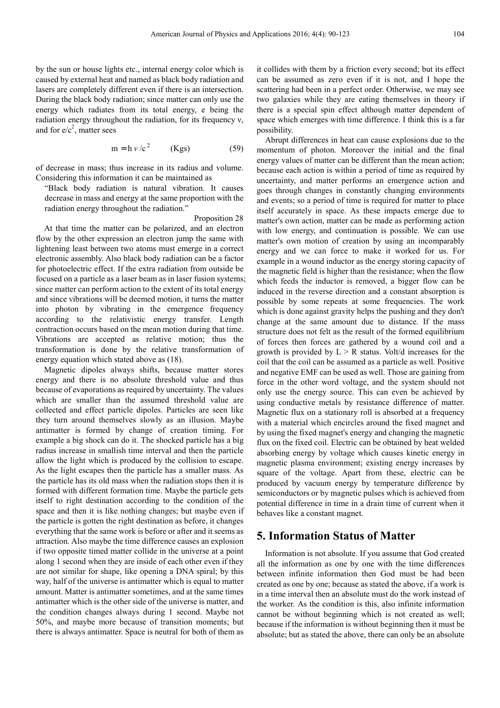by the sun or house lights etc., internal energy color which is caused by external heat and named as black body radiation and lasers are completely different even if there is an intersection. During the black body radiation; since matter can only use the energy which radiates from its total energy, e being the radiation energy throughout the radiation, for its frequency ν, and for  $e/c^2$ , matter sees

$$
m = h v/c2 \t(Kgs) \t(59)
$$

of decrease in mass; thus increase in its radius and volume. Considering this information it can be maintained as

"Black body radiation is natural vibration. It causes decrease in mass and energy at the same proportion with the radiation energy throughout the radiation."

Proposition 28

At that time the matter can be polarized, and an electron flow by the other expression an electron jump the same with lightening least between two atoms must emerge in a correct electronic assembly. Also black body radiation can be a factor for photoelectric effect. If the extra radiation from outside be focused on a particle as a laser beam as in laser fusion systems; since matter can perform action to the extent of its total energy and since vibrations will be deemed motion, it turns the matter into photon by vibrating in the emergence frequency according to the relativistic energy transfer. Length contraction occurs based on the mean motion during that time. Vibrations are accepted as relative motion; thus the transformation is done by the relative transformation of energy equation which stated above as (18).

Magnetic dipoles always shifts, because matter stores energy and there is no absolute threshold value and thus because of evaporations as required by uncertainty. The values which are smaller than the assumed threshold value are collected and effect particle dipoles. Particles are seen like they turn around themselves slowly as an illusion. Maybe antimatter is formed by change of creation timing. For example a big shock can do it. The shocked particle has a big radius increase in smallish time interval and then the particle allow the light which is produced by the collision to escape. As the light escapes then the particle has a smaller mass. As the particle has its old mass when the radiation stops then it is formed with different formation time. Maybe the particle gets itself to right destination according to the condition of the space and then it is like nothing changes; but maybe even if the particle is gotten the right destination as before, it changes everything that the same work is before or after and it seems as attraction. Also maybe the time difference causes an explosion if two opposite timed matter collide in the universe at a point along 1 second when they are inside of each other even if they are not similar for shape, like opening a DNA spiral; by this way, half of the universe is antimatter which is equal to matter amount. Matter is antimatter sometimes, and at the same times antimatter which is the other side of the universe is matter, and the condition changes always during 1 second. Maybe not 50%, and maybe more because of transition moments; but there is always antimatter. Space is neutral for both of them as

it collides with them by a friction every second; but its effect can be assumed as zero even if it is not, and I hope the scattering had been in a perfect order. Otherwise, we may see two galaxies while they are eating themselves in theory if there is a special spin effect although matter dependent of space which emerges with time difference. I think this is a far possibility.

Abrupt differences in heat can cause explosions due to the momentum of photon. Moreover the initial and the final energy values of matter can be different than the mean action; because each action is within a period of time as required by uncertainty, and matter performs an emergence action and goes through changes in constantly changing environments and events; so a period of time is required for matter to place itself accurately in space. As these impacts emerge due to matter's own action, matter can be made as performing action with low energy, and continuation is possible. We can use matter's own motion of creation by using an incomparably energy and we can force to make it worked for us. For example in a wound inductor as the energy storing capacity of the magnetic field is higher than the resistance; when the flow which feeds the inductor is removed, a bigger flow can be induced in the reverse direction and a constant absorption is possible by some repeats at some frequencies. The work which is done against gravity helps the pushing and they don't change at the same amount due to distance. If the mass structure does not felt as the result of the formed equilibrium of forces then forces are gathered by a wound coil and a growth is provided by  $L > R$  status. Volt/d increases for the coil that the coil can be assumed as a particle as well. Positive and negative EMF can be used as well. Those are gaining from force in the other word voltage, and the system should not only use the energy source. This can even be achieved by using conductive metals by resistance difference of matter. Magnetic flux on a stationary roll is absorbed at a frequency with a material which encircles around the fixed magnet and by using the fixed magnet's energy and changing the magnetic flux on the fixed coil. Electric can be obtained by heat welded absorbing energy by voltage which causes kinetic energy in magnetic plasma environment; existing energy increases by square of the voltage. Apart from these, electric can be produced by vacuum energy by temperature difference by semiconductors or by magnetic pulses which is achieved from potential difference in time in a drain time of current when it behaves like a constant magnet.

# **5. Information Status of Matter**

Information is not absolute. If you assume that God created all the information as one by one with the time differences between infinite information then God must be had been created as one by one; because as stated the above, if a work is in a time interval then an absolute must do the work instead of the worker. As the condition is this, also infinite information cannot be without beginning which is not created as well; because if the information is without beginning then it must be absolute; but as stated the above, there can only be an absolute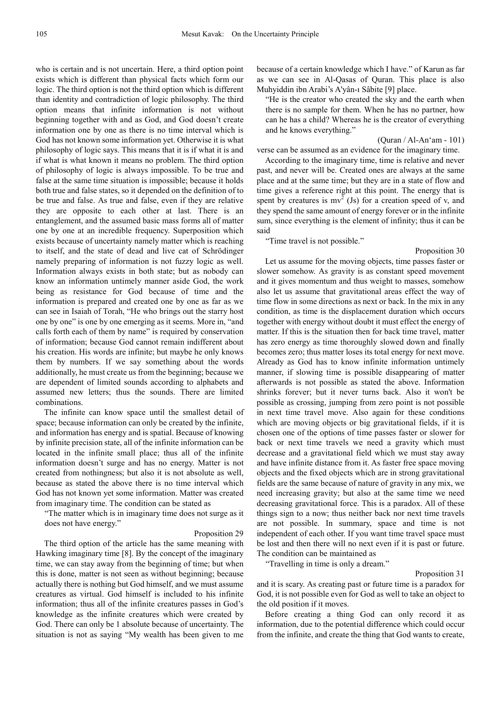who is certain and is not uncertain. Here, a third option point exists which is different than physical facts which form our logic. The third option is not the third option which is different than identity and contradiction of logic philosophy. The third option means that infinite information is not without beginning together with and as God, and God doesn't create information one by one as there is no time interval which is God has not known some information yet. Otherwise it is what philosophy of logic says. This means that it is if what it is and if what is what known it means no problem. The third option of philosophy of logic is always impossible. To be true and false at the same time situation is impossible; because it holds both true and false states, so it depended on the definition of to be true and false. As true and false, even if they are relative they are opposite to each other at last. There is an entanglement, and the assumed basic mass forms all of matter one by one at an incredible frequency. Superposition which exists because of uncertainty namely matter which is reaching to itself, and the state of dead and live cat of Schrödinger namely preparing of information is not fuzzy logic as well. Information always exists in both state; but as nobody can know an information untimely manner aside God, the work being as resistance for God because of time and the information is prepared and created one by one as far as we can see in Isaiah of Torah, "He who brings out the starry host one by one" is one by one emerging as it seems. More in, "and calls forth each of them by name" is required by conservation of information; because God cannot remain indifferent about his creation. His words are infinite; but maybe he only knows them by numbers. If we say something about the words additionally, he must create us from the beginning; because we are dependent of limited sounds according to alphabets and assumed new letters; thus the sounds. There are limited combinations.

The infinite can know space until the smallest detail of space; because information can only be created by the infinite, and information has energy and is spatial. Because of knowing by infinite precision state, all of the infinite information can be located in the infinite small place; thus all of the infinite information doesn't surge and has no energy. Matter is not created from nothingness; but also it is not absolute as well, because as stated the above there is no time interval which God has not known yet some information. Matter was created from imaginary time. The condition can be stated as

"The matter which is in imaginary time does not surge as it does not have energy."

#### Proposition 29

The third option of the article has the same meaning with Hawking imaginary time [8]. By the concept of the imaginary time, we can stay away from the beginning of time; but when this is done, matter is not seen as without beginning; because actually there is nothing but God himself, and we must assume creatures as virtual. God himself is included to his infinite information; thus all of the infinite creatures passes in God's knowledge as the infinite creatures which were created by God. There can only be 1 absolute because of uncertainty. The situation is not as saying "My wealth has been given to me

because of a certain knowledge which I have." of Karun as far as we can see in Al-Qasas of Quran. This place is also Muhyiddin ibn Arabi's A'yân-ı Sâbite [9] place.

"He is the creator who created the sky and the earth when there is no sample for them. When he has no partner, how can he has a child? Whereas he is the creator of everything and he knows everything."

#### (Quran / Al-An'am - 101)

verse can be assumed as an evidence for the imaginary time.

According to the imaginary time, time is relative and never past, and never will be. Created ones are always at the same place and at the same time; but they are in a state of flow and time gives a reference right at this point. The energy that is spent by creatures is  $mv^2$  (Js) for a creation speed of v, and they spend the same amount of energy forever or in the infinite sum, since everything is the element of infinity; thus it can be said

"Time travel is not possible."

Proposition 30

Let us assume for the moving objects, time passes faster or slower somehow. As gravity is as constant speed movement and it gives momentum and thus weight to masses, somehow also let us assume that gravitational areas effect the way of time flow in some directions as next or back. In the mix in any condition, as time is the displacement duration which occurs together with energy without doubt it must effect the energy of matter. If this is the situation then for back time travel, matter has zero energy as time thoroughly slowed down and finally becomes zero; thus matter loses its total energy for next move. Already as God has to know infinite information untimely manner, if slowing time is possible disappearing of matter afterwards is not possible as stated the above. Information shrinks forever; but it never turns back. Also it won't be possible as crossing, jumping from zero point is not possible in next time travel move. Also again for these conditions which are moving objects or big gravitational fields, if it is chosen one of the options of time passes faster or slower for back or next time travels we need a gravity which must decrease and a gravitational field which we must stay away and have infinite distance from it. As faster free space moving objects and the fixed objects which are in strong gravitational fields are the same because of nature of gravity in any mix, we need increasing gravity; but also at the same time we need decreasing gravitational force. This is a paradox. All of these things sign to a now; thus neither back nor next time travels are not possible. In summary, space and time is not independent of each other. If you want time travel space must be lost and then there will no next even if it is past or future. The condition can be maintained as

"Travelling in time is only a dream."

### Proposition 31

and it is scary. As creating past or future time is a paradox for God, it is not possible even for God as well to take an object to the old position if it moves.

Before creating a thing God can only record it as information, due to the potential difference which could occur from the infinite, and create the thing that God wants to create,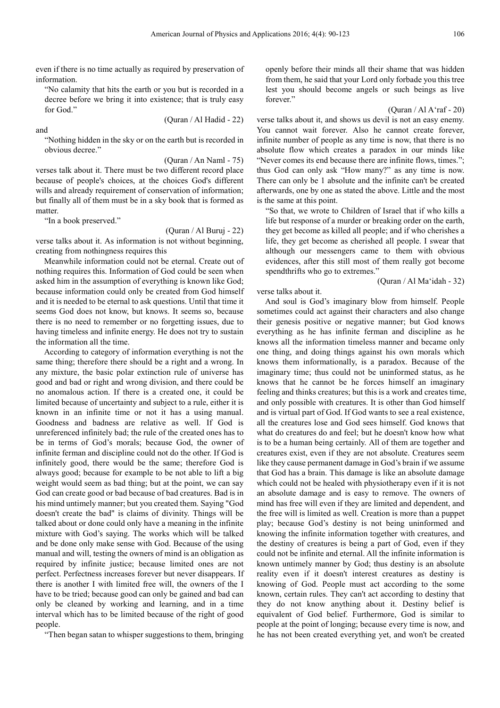even if there is no time actually as required by preservation of information.

"No calamity that hits the earth or you but is recorded in a decree before we bring it into existence; that is truly easy for God<sup>"</sup>

and

(Quran / Al Hadid - 22)

"Nothing hidden in the sky or on the earth but is recorded in obvious decree."

(Quran / An Naml - 75)

verses talk about it. There must be two different record place because of people's choices, at the choices God's different wills and already requirement of conservation of information; but finally all of them must be in a sky book that is formed as matter.

"In a book preserved."

(Quran / Al Buruj - 22)

verse talks about it. As information is not without beginning, creating from nothingness requires this

Meanwhile information could not be eternal. Create out of nothing requires this. Information of God could be seen when asked him in the assumption of everything is known like God; because information could only be created from God himself and it is needed to be eternal to ask questions. Until that time it seems God does not know, but knows. It seems so, because there is no need to remember or no forgetting issues, due to having timeless and infinite energy. He does not try to sustain the information all the time.

According to category of information everything is not the same thing; therefore there should be a right and a wrong. In any mixture, the basic polar extinction rule of universe has good and bad or right and wrong division, and there could be no anomalous action. If there is a created one, it could be limited because of uncertainty and subject to a rule, either it is known in an infinite time or not it has a using manual. Goodness and badness are relative as well. If God is unreferenced infinitely bad; the rule of the created ones has to be in terms of God's morals; because God, the owner of infinite ferman and discipline could not do the other. If God is infinitely good, there would be the same; therefore God is always good; because for example to be not able to lift a big weight would seem as bad thing; but at the point, we can say God can create good or bad because of bad creatures. Bad is in his mind untimely manner; but you created them. Saying "God doesn't create the bad" is claims of divinity. Things will be talked about or done could only have a meaning in the infinite mixture with God's saying. The works which will be talked and be done only make sense with God. Because of the using manual and will, testing the owners of mind is an obligation as required by infinite justice; because limited ones are not perfect. Perfectness increases forever but never disappears. If there is another I with limited free will, the owners of the I have to be tried; because good can only be gained and bad can only be cleaned by working and learning, and in a time interval which has to be limited because of the right of good people.

"Then began satan to whisper suggestions to them, bringing

openly before their minds all their shame that was hidden from them, he said that your Lord only forbade you this tree lest you should become angels or such beings as live forever."

#### $(Quran / Al A'raf - 20)$

verse talks about it, and shows us devil is not an easy enemy. You cannot wait forever. Also he cannot create forever, infinite number of people as any time is now, that there is no absolute flow which creates a paradox in our minds like "Never comes its end because there are infinite flows, times."; thus God can only ask "How many?" as any time is now. There can only be 1 absolute and the infinite can't be created afterwards, one by one as stated the above. Little and the most is the same at this point.

"So that, we wrote to Children of Israel that if who kills a life but response of a murder or breaking order on the earth, they get become as killed all people; and if who cherishes a life, they get become as cherished all people. I swear that although our messengers came to them with obvious evidences, after this still most of them really got become spendthrifts who go to extremes."

#### (Quran / Al Ma'idah - 32)

verse talks about it.

And soul is God's imaginary blow from himself. People sometimes could act against their characters and also change their genesis positive or negative manner; but God knows everything as he has infinite ferman and discipline as he knows all the information timeless manner and became only one thing, and doing things against his own morals which knows them informationally, is a paradox. Because of the imaginary time; thus could not be uninformed status, as he knows that he cannot be he forces himself an imaginary feeling and thinks creatures; but this is a work and creates time, and only possible with creatures. It is other than God himself and is virtual part of God. If God wants to see a real existence, all the creatures lose and God sees himself. God knows that what do creatures do and feel; but he doesn't know how what is to be a human being certainly. All of them are together and creatures exist, even if they are not absolute. Creatures seem like they cause permanent damage in God's brain if we assume that God has a brain. This damage is like an absolute damage which could not be healed with physiotherapy even if it is not an absolute damage and is easy to remove. The owners of mind has free will even if they are limited and dependent, and the free will is limited as well. Creation is more than a puppet play; because God's destiny is not being uninformed and knowing the infinite information together with creatures, and the destiny of creatures is being a part of God, even if they could not be infinite and eternal. All the infinite information is known untimely manner by God; thus destiny is an absolute reality even if it doesn't interest creatures as destiny is knowing of God. People must act according to the some known, certain rules. They can't act according to destiny that they do not know anything about it. Destiny belief is equivalent of God belief. Furthermore, God is similar to people at the point of longing; because every time is now, and he has not been created everything yet, and won't be created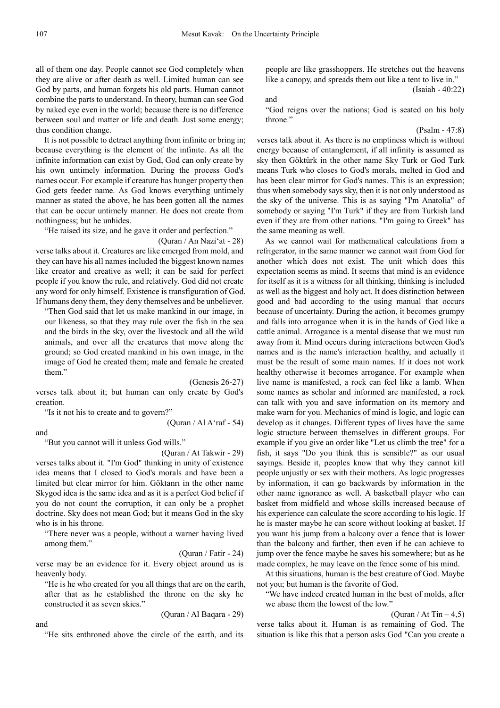all of them one day. People cannot see God completely when they are alive or after death as well. Limited human can see God by parts, and human forgets his old parts. Human cannot combine the parts to understand. In theory, human can see God by naked eye even in the world; because there is no difference between soul and matter or life and death. Just some energy; thus condition change.

It is not possible to detract anything from infinite or bring in; because everything is the element of the infinite. As all the infinite information can exist by God, God can only create by his own untimely information. During the process God's names occur. For example if creature has hunger property then God gets feeder name. As God knows everything untimely manner as stated the above, he has been gotten all the names that can be occur untimely manner. He does not create from nothingness; but he unhides.

"He raised its size, and he gave it order and perfection."

(Quran / An Nazi'at - 28)

verse talks about it. Creatures are like emerged from mold, and they can have his all names included the biggest known names like creator and creative as well; it can be said for perfect people if you know the rule, and relatively. God did not create any word for only himself. Existence is transfiguration of God. If humans deny them, they deny themselves and be unbeliever.

"Then God said that let us make mankind in our image, in our likeness, so that they may rule over the fish in the sea and the birds in the sky, over the livestock and all the wild animals, and over all the creatures that move along the ground; so God created mankind in his own image, in the image of God he created them; male and female he created them."

(Genesis 26-27)

(Quran / Al A'raf - 54)

verses talk about it; but human can only create by God's creation.

"Is it not his to create and to govern?"

and

"But you cannot will it unless God wills."

(Quran / At Takwir - 29) verses talks about it. "I'm God" thinking in unity of existence idea means that I closed to God's morals and have been a limited but clear mirror for him. Göktanrı in the other name Skygod idea is the same idea and as it is a perfect God belief if you do not count the corruption, it can only be a prophet doctrine. Sky does not mean God; but it means God in the sky who is in his throne.

"There never was a people, without a warner having lived among them."

(Quran / Fatir - 24)

verse may be an evidence for it. Every object around us is heavenly body.

"He is he who created for you all things that are on the earth, after that as he established the throne on the sky he constructed it as seven skies."

(Quran / Al Baqara - 29)

and

"He sits enthroned above the circle of the earth, and its

people are like grasshoppers. He stretches out the heavens like a canopy, and spreads them out like a tent to live in." (Isaiah - 40:22)

and

"God reigns over the nations; God is seated on his holy throne."

(Psalm - 47:8)

verses talk about it. As there is no emptiness which is without energy because of entanglement, if all infinity is assumed as sky then Göktürk in the other name Sky Turk or God Turk means Turk who closes to God's morals, melted in God and has been clear mirror for God's names. This is an expression; thus when somebody says sky, then it is not only understood as the sky of the universe. This is as saying "I'm Anatolia" of somebody or saying "I'm Turk" if they are from Turkish land even if they are from other nations. "I'm going to Greek" has the same meaning as well.

As we cannot wait for mathematical calculations from a refrigerator, in the same manner we cannot wait from God for another which does not exist. The unit which does this expectation seems as mind. It seems that mind is an evidence for itself as it is a witness for all thinking, thinking is included as well as the biggest and holy act. It does distinction between good and bad according to the using manual that occurs because of uncertainty. During the action, it becomes grumpy and falls into arrogance when it is in the hands of God like a cattle animal. Arrogance is a mental disease that we must run away from it. Mind occurs during interactions between God's names and is the name's interaction healthy, and actually it must be the result of some main names. If it does not work healthy otherwise it becomes arrogance. For example when live name is manifested, a rock can feel like a lamb. When some names as scholar and informed are manifested, a rock can talk with you and save information on its memory and make warn for you. Mechanics of mind is logic, and logic can develop as it changes. Different types of lives have the same logic structure between themselves in different groups. For example if you give an order like "Let us climb the tree" for a fish, it says "Do you think this is sensible?" as our usual sayings. Beside it, peoples know that why they cannot kill people unjustly or sex with their mothers. As logic progresses by information, it can go backwards by information in the other name ignorance as well. A basketball player who can basket from midfield and whose skills increased because of his experience can calculate the score according to his logic. If he is master maybe he can score without looking at basket. If you want his jump from a balcony over a fence that is lower than the balcony and farther, then even if he can achieve to jump over the fence maybe he saves his somewhere; but as he made complex, he may leave on the fence some of his mind.

At this situations, human is the best creature of God. Maybe not you; but human is the favorite of God.

"We have indeed created human in the best of molds, after we abase them the lowest of the low."

(Quran / At Tin  $-4,5$ )

verse talks about it. Human is as remaining of God. The situation is like this that a person asks God "Can you create a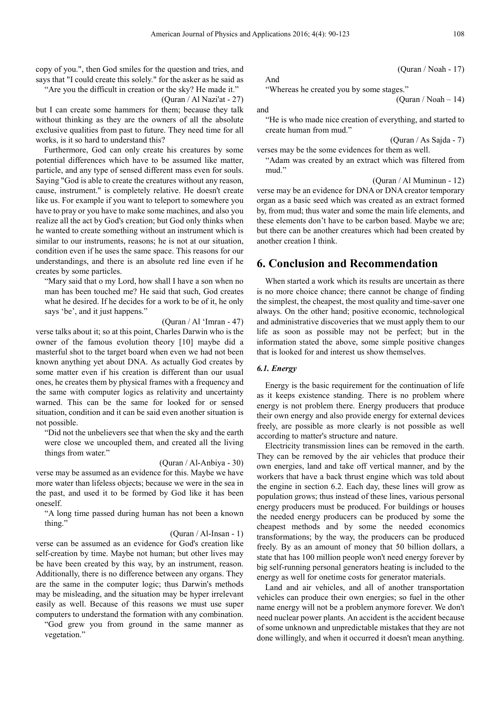copy of you.", then God smiles for the question and tries, and says that "I could create this solely." for the asker as he said as

"Are you the difficult in creation or the sky? He made it."

(Quran / Al Nazi'at - 27)

but I can create some hammers for them; because they talk without thinking as they are the owners of all the absolute exclusive qualities from past to future. They need time for all works, is it so hard to understand this?

Furthermore, God can only create his creatures by some potential differences which have to be assumed like matter, particle, and any type of sensed different mass even for souls. Saying "God is able to create the creatures without any reason, cause, instrument." is completely relative. He doesn't create like us. For example if you want to teleport to somewhere you have to pray or you have to make some machines, and also you realize all the act by God's creation; but God only thinks when he wanted to create something without an instrument which is similar to our instruments, reasons; he is not at our situation, condition even if he uses the same space. This reasons for our understandings, and there is an absolute red line even if he creates by some particles.

"Mary said that o my Lord, how shall I have a son when no man has been touched me? He said that such, God creates what he desired. If he decides for a work to be of it, he only says 'be', and it just happens."

(Quran / Al 'Imran - 47)

verse talks about it; so at this point, Charles Darwin who is the owner of the famous evolution theory [10] maybe did a masterful shot to the target board when even we had not been known anything yet about DNA. As actually God creates by some matter even if his creation is different than our usual ones, he creates them by physical frames with a frequency and the same with computer logics as relativity and uncertainty warned. This can be the same for looked for or sensed situation, condition and it can be said even another situation is not possible.

"Did not the unbelievers see that when the sky and the earth were close we uncoupled them, and created all the living things from water."

(Quran / Al-Anbiya - 30)

verse may be assumed as an evidence for this. Maybe we have more water than lifeless objects; because we were in the sea in the past, and used it to be formed by God like it has been oneself.

"A long time passed during human has not been a known thing.'

#### (Quran / Al-Insan - 1)

verse can be assumed as an evidence for God's creation like self-creation by time. Maybe not human; but other lives may be have been created by this way, by an instrument, reason. Additionally, there is no difference between any organs. They are the same in the computer logic; thus Darwin's methods may be misleading, and the situation may be hyper irrelevant easily as well. Because of this reasons we must use super computers to understand the formation with any combination.

"God grew you from ground in the same manner as vegetation."

And

"Whereas he created you by some stages."

(Ouran / Noah – 14)

(Quran / Noah - 17)

and

"He is who made nice creation of everything, and started to create human from mud."

(Quran / As Sajda - 7)

verses may be the some evidences for them as well. "Adam was created by an extract which was filtered from mud<sup>"</sup>

(Quran / Al Muminun - 12)

verse may be an evidence for DNA or DNA creator temporary organ as a basic seed which was created as an extract formed by, from mud; thus water and some the main life elements, and these elements don't have to be carbon based. Maybe we are; but there can be another creatures which had been created by another creation I think.

# **6. Conclusion and Recommendation**

When started a work which its results are uncertain as there is no more choice chance; there cannot be change of finding the simplest, the cheapest, the most quality and time-saver one always. On the other hand; positive economic, technological and administrative discoveries that we must apply them to our life as soon as possible may not be perfect; but in the information stated the above, some simple positive changes that is looked for and interest us show themselves.

#### *6.1. Energy*

Energy is the basic requirement for the continuation of life as it keeps existence standing. There is no problem where energy is not problem there. Energy producers that produce their own energy and also provide energy for external devices freely, are possible as more clearly is not possible as well according to matter's structure and nature.

Electricity transmission lines can be removed in the earth. They can be removed by the air vehicles that produce their own energies, land and take off vertical manner, and by the workers that have a back thrust engine which was told about the engine in section 6.2. Each day, these lines will grow as population grows; thus instead of these lines, various personal energy producers must be produced. For buildings or houses the needed energy producers can be produced by some the cheapest methods and by some the needed economics transformations; by the way, the producers can be produced freely. By as an amount of money that 50 billion dollars, a state that has 100 million people won't need energy forever by big self-running personal generators heating is included to the energy as well for onetime costs for generator materials.

Land and air vehicles, and all of another transportation vehicles can produce their own energies; so fuel in the other name energy will not be a problem anymore forever. We don't need nuclear power plants. An accident is the accident because of some unknown and unpredictable mistakes that they are not done willingly, and when it occurred it doesn't mean anything.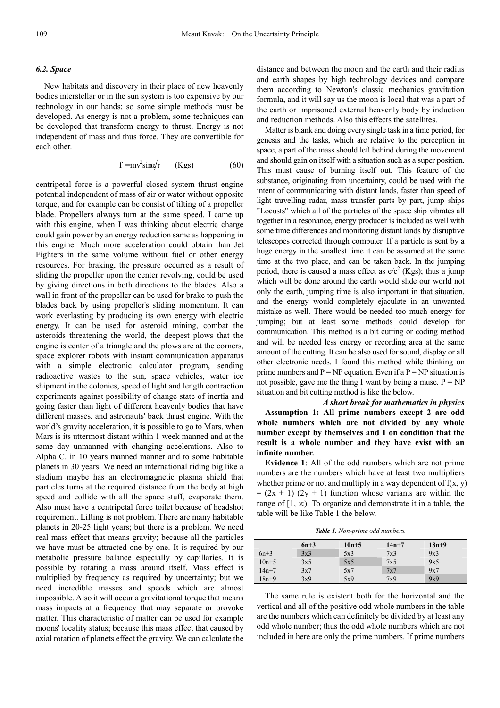#### *6.2. Space*

New habitats and discovery in their place of new heavenly bodies interstellar or in the sun system is too expensive by our technology in our hands; so some simple methods must be developed. As energy is not a problem, some techniques can be developed that transform energy to thrust. Energy is not independent of mass and thus force. They are convertible for each other.

$$
f = mv^2 \sin{\alpha/r} \qquad (Kgs) \tag{60}
$$

centripetal force is a powerful closed system thrust engine potential independent of mass of air or water without opposite torque, and for example can be consist of tilting of a propeller blade. Propellers always turn at the same speed. I came up with this engine, when I was thinking about electric charge could gain power by an energy reduction same as happening in this engine. Much more acceleration could obtain than Jet Fighters in the same volume without fuel or other energy resources. For braking, the pressure occurred as a result of sliding the propeller upon the center revolving, could be used by giving directions in both directions to the blades. Also a wall in front of the propeller can be used for brake to push the blades back by using propeller's sliding momentum. It can work everlasting by producing its own energy with electric energy. It can be used for asteroid mining, combat the asteroids threatening the world, the deepest plows that the engine is center of a triangle and the plows are at the corners, space explorer robots with instant communication apparatus with a simple electronic calculator program, sending radioactive wastes to the sun, space vehicles, water ice shipment in the colonies, speed of light and length contraction experiments against possibility of change state of inertia and going faster than light of different heavenly bodies that have different masses, and astronauts' back thrust engine. With the world's gravity acceleration, it is possible to go to Mars, when Mars is its uttermost distant within 1 week manned and at the same day unmanned with changing accelerations. Also to Alpha C. in 10 years manned manner and to some habitable planets in 30 years. We need an international riding big like a stadium maybe has an electromagnetic plasma shield that particles turns at the required distance from the body at high speed and collide with all the space stuff, evaporate them. Also must have a centripetal force toilet because of headshot requirement. Lifting is not problem. There are many habitable planets in 20-25 light years; but there is a problem. We need real mass effect that means gravity; because all the particles we have must be attracted one by one. It is required by our metabolic pressure balance especially by capillaries. It is possible by rotating a mass around itself. Mass effect is multiplied by frequency as required by uncertainty; but we need incredible masses and speeds which are almost impossible. Also it will occur a gravitational torque that means mass impacts at a frequency that may separate or provoke matter. This characteristic of matter can be used for example moons' locality status; because this mass effect that caused by axial rotation of planets effect the gravity. We can calculate the

distance and between the moon and the earth and their radius and earth shapes by high technology devices and compare them according to Newton's classic mechanics gravitation formula, and it will say us the moon is local that was a part of the earth or imprisoned external heavenly body by induction and reduction methods. Also this effects the satellites.

Matter is blank and doing every single task in a time period, for genesis and the tasks, which are relative to the perception in space, a part of the mass should left behind during the movement and should gain on itself with a situation such as a super position. This must cause of burning itself out. This feature of the substance, originating from uncertainty, could be used with the intent of communicating with distant lands, faster than speed of light travelling radar, mass transfer parts by part, jump ships "Locusts" which all of the particles of the space ship vibrates all together in a resonance, energy producer is included as well with some time differences and monitoring distant lands by disruptive telescopes corrected through computer. If a particle is sent by a huge energy in the smallest time it can be assumed at the same time at the two place, and can be taken back. In the jumping period, there is caused a mass effect as  $e/c<sup>2</sup>$  (Kgs); thus a jump which will be done around the earth would slide our world not only the earth, jumping time is also important in that situation, and the energy would completely ejaculate in an unwanted mistake as well. There would be needed too much energy for jumping; but at least some methods could develop for communication. This method is a bit cutting or coding method and will be needed less energy or recording area at the same amount of the cutting. It can be also used for sound, display or all other electronic needs. I found this method while thinking on prime numbers and  $P = NP$  equation. Even if a  $P = NP$  situation is not possible, gave me the thing I want by being a muse.  $P = NP$ situation and bit cutting method is like the below.

*A short break for mathematics in physics*  **Assumption 1: All prime numbers except 2 are odd whole numbers which are not divided by any whole number except by themselves and 1 on condition that the result is a whole number and they have exist with an infinite number.** 

**Evidence 1**: All of the odd numbers which are not prime numbers are the numbers which have at least two multipliers whether prime or not and multiply in a way dependent of  $f(x, y)$  $= (2x + 1) (2y + 1)$  function whose variants are within the range of  $[1, \infty)$ . To organize and demonstrate it in a table, the table will be like Table 1 the below.

*Table 1. Non-prime odd numbers.* 

|           | $6n+3$ | $10n + 5$ | $14n + 7$ | $18n+9$ |
|-----------|--------|-----------|-----------|---------|
| $6n+3$    | 3x3    | 5x3       | 7x3       | 9x3     |
| $10n + 5$ | 3x5    | 5x5       | 7x5       | 9x5     |
| $14n + 7$ | 3x7    | 5x7       | 7x7       | 9x7     |
| $18n+9$   | 3x9    | 5x9       | 7x9       | 9x9     |

The same rule is existent both for the horizontal and the vertical and all of the positive odd whole numbers in the table are the numbers which can definitely be divided by at least any odd whole number; thus the odd whole numbers which are not included in here are only the prime numbers. If prime numbers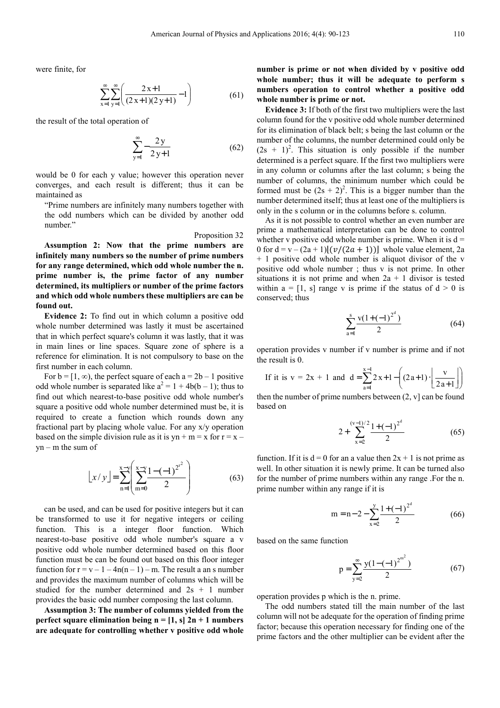were finite, for

$$
\sum_{x=1}^{\infty} \sum_{y=1}^{\infty} \left( \frac{2x+1}{(2x+1)(2y+1)} - 1 \right)
$$
(61)

the result of the total operation of

$$
\sum_{y=1}^{\infty} -\frac{2y}{2y+1}
$$
 (62)

would be 0 for each y value; however this operation never converges, and each result is different; thus it can be maintained as

"Prime numbers are infinitely many numbers together with the odd numbers which can be divided by another odd number."

#### Proposition 32

**Assumption 2: Now that the prime numbers are infinitely many numbers so the number of prime numbers for any range determined, which odd whole number the n. prime number is, the prime factor of any number determined, its multipliers or number of the prime factors and which odd whole numbers these multipliers are can be found out.** 

**Evidence 2:** To find out in which column a positive odd whole number determined was lastly it must be ascertained that in which perfect square's column it was lastly, that it was in main lines or line spaces. Square zone of sphere is a reference for elimination. It is not compulsory to base on the first number in each column.

For  $b = [1, \infty)$ , the perfect square of each  $a = 2b - 1$  positive odd whole number is separated like  $a^2 = 1 + 4b(b - 1)$ ; thus to find out which nearest-to-base positive odd whole number's square a positive odd whole number determined must be, it is required to create a function which rounds down any fractional part by placing whole value. For any x/y operation based on the simple division rule as it is yn + m = x for  $r = x$  $yn - m$  the sum of

$$
[x/y] = \sum_{n=1}^{x-y} \left( \sum_{m=0}^{x-y} \frac{1 - (-1)^{2^{t^2}}}{2} \right)
$$
 (63)

can be used, and can be used for positive integers but it can be transformed to use it for negative integers or ceiling function. This is a integer floor function. Which nearest-to-base positive odd whole number's square a v positive odd whole number determined based on this floor function must be can be found out based on this floor integer function for  $r = v - 1 - 4n(n - 1) - m$ . The result a an s number and provides the maximum number of columns which will be studied for the number determined and  $2s + 1$  number provides the basic odd number composing the last column.

**Assumption 3: The number of columns yielded from the perfect square elimination being n = [1, s] 2n + 1 numbers are adequate for controlling whether v positive odd whole** 

**number is prime or not when divided by v positive odd whole number; thus it will be adequate to perform s numbers operation to control whether a positive odd whole number is prime or not.** 

**Evidence 3:** If both of the first two multipliers were the last column found for the v positive odd whole number determined for its elimination of black belt; s being the last column or the number of the columns, the number determined could only be  $(2s + 1)^2$ . This situation is only possible if the number determined is a perfect square. If the first two multipliers were in any column or columns after the last column; s being the number of columns, the minimum number which could be formed must be  $(2s + 2)^2$ . This is a bigger number than the number determined itself; thus at least one of the multipliers is only in the s column or in the columns before s. column.

As it is not possible to control whether an even number are prime a mathematical interpretation can be done to control whether v positive odd whole number is prime. When it is  $d =$ 0 for  $d = v - (2a + 1)$  $(v/(2a + 1))$  whole value element, 2a + 1 positive odd whole number is aliquot divisor of the v positive odd whole number ; thus v is not prime. In other situations it is not prime and when  $2a + 1$  divisor is tested within  $a = [1, s]$  range v is prime if the status of  $d > 0$  is conserved; thus

$$
\sum_{a=1}^{s} \frac{v(1+(-1)^{2^d})}{2}
$$
 (64)

operation provides v number if v number is prime and if not the result is 0.

If it is 
$$
v = 2x + 1
$$
 and  $d = \sum_{a=1}^{x-1} 2x + 1 - \left( (2a+1) \cdot \left\lfloor \frac{v}{2a+1} \right\rfloor \right)$ 

then the number of prime numbers between  $(2, v]$  can be found based on

$$
2 + \sum_{x=2}^{(v-1)/2} \frac{1 + (-1)^{2^d}}{2} \tag{65}
$$

function. If it is  $d = 0$  for an a value then  $2x + 1$  is not prime as well. In other situation it is newly prime. It can be turned also for the number of prime numbers within any range .For the n. prime number within any range if it is

$$
m = n - 2 - \sum_{x=2}^{y} \frac{1 + (-1)^{2^d}}{2}
$$
 (66)

based on the same function

$$
p = \sum_{y=2}^{\infty} \frac{y(1 - (-1)^{2^{m^2}})}{2}
$$
 (67)

operation provides p which is the n. prime.

The odd numbers stated till the main number of the last column will not be adequate for the operation of finding prime factor; because this operation necessary for finding one of the prime factors and the other multiplier can be evident after the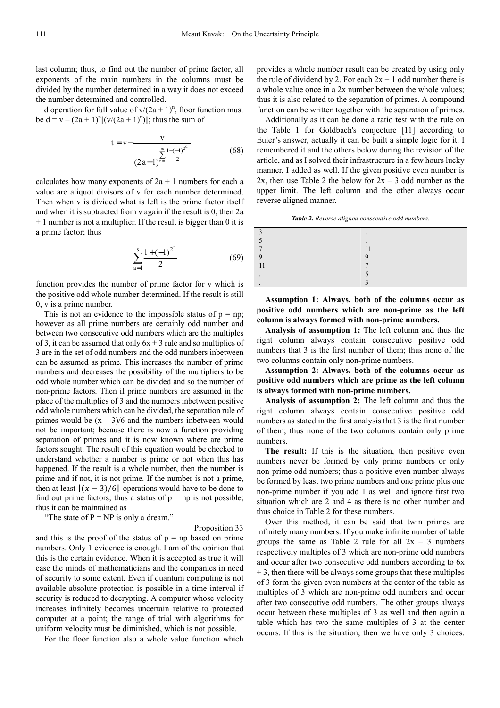last column; thus, to find out the number of prime factor, all exponents of the main numbers in the columns must be divided by the number determined in a way it does not exceed the number determined and controlled.

d operation for full value of  $v/(2a + 1)^n$ , floor function must be  $d = v - (2a + 1)^n [(v/(2a + 1)^n)]$ ; thus the sum of

$$
t = v - \frac{v}{(2a+1)^{\frac{\infty}{n-1} \frac{1-(-1)^{2^d}}{2}}}
$$
(68)

calculates how many exponents of  $2a + 1$  numbers for each a value are aliquot divisors of v for each number determined. Then when v is divided what is left is the prime factor itself and when it is subtracted from v again if the result is 0, then 2a + 1 number is not a multiplier. If the result is bigger than 0 it is a prime factor; thus

$$
\sum_{a=1}^{s} \frac{1 + (-1)^{2^t}}{2} \tag{69}
$$

function provides the number of prime factor for v which is the positive odd whole number determined. If the result is still 0, v is a prime number.

This is not an evidence to the impossible status of  $p = np$ . however as all prime numbers are certainly odd number and between two consecutive odd numbers which are the multiples of 3, it can be assumed that only  $6x + 3$  rule and so multiplies of 3 are in the set of odd numbers and the odd numbers inbetween can be assumed as prime. This increases the number of prime numbers and decreases the possibility of the multipliers to be odd whole number which can be divided and so the number of non-prime factors. Then if prime numbers are assumed in the place of the multiplies of 3 and the numbers inbetween positive odd whole numbers which can be divided, the separation rule of primes would be  $(x - 3)/6$  and the numbers inbetween would not be important; because there is now a function providing separation of primes and it is now known where are prime factors sought. The result of this equation would be checked to understand whether a number is prime or not when this has happened. If the result is a whole number, then the number is prime and if not, it is not prime. If the number is not a prime, then at least  $[(x - 3)/6]$  operations would have to be done to find out prime factors; thus a status of  $p = np$  is not possible; thus it can be maintained as

"The state of  $P = NP$  is only a dream."

Proposition 33

and this is the proof of the status of  $p = np$  based on prime numbers. Only 1 evidence is enough. I am of the opinion that this is the certain evidence. When it is accepted as true it will ease the minds of mathematicians and the companies in need of security to some extent. Even if quantum computing is not available absolute protection is possible in a time interval if security is reduced to decrypting. A computer whose velocity increases infinitely becomes uncertain relative to protected computer at a point; the range of trial with algorithms for uniform velocity must be diminished, which is not possible.

For the floor function also a whole value function which

provides a whole number result can be created by using only the rule of dividend by 2. For each  $2x + 1$  odd number there is a whole value once in a 2x number between the whole values; thus it is also related to the separation of primes. A compound function can be written together with the separation of primes.

Additionally as it can be done a ratio test with the rule on the Table 1 for Goldbach's conjecture [11] according to Euler's answer, actually it can be built a simple logic for it. I remembered it and the others below during the revision of the article, and as I solved their infrastructure in a few hours lucky manner, I added as well. If the given positive even number is 2x, then use Table 2 the below for  $2x - 3$  odd number as the upper limit. The left column and the other always occur reverse aligned manner.

*Table 2. Reverse aligned consecutive odd numbers.* 

| $\bullet$   |
|-------------|
| ۰           |
|             |
| $\mathbf Q$ |
|             |
|             |
|             |

**Assumption 1: Always, both of the columns occur as positive odd numbers which are non-prime as the left column is always formed with non-prime numbers.** 

**Analysis of assumption 1:** The left column and thus the right column always contain consecutive positive odd numbers that 3 is the first number of them; thus none of the two columns contain only non-prime numbers.

**Assumption 2: Always, both of the columns occur as positive odd numbers which are prime as the left column is always formed with non-prime numbers.** 

**Analysis of assumption 2:** The left column and thus the right column always contain consecutive positive odd numbers as stated in the first analysis that 3 is the first number of them; thus none of the two columns contain only prime numbers.

**The result:** If this is the situation, then positive even numbers never be formed by only prime numbers or only non-prime odd numbers; thus a positive even number always be formed by least two prime numbers and one prime plus one non-prime number if you add 1 as well and ignore first two situation which are 2 and 4 as there is no other number and thus choice in Table 2 for these numbers.

Over this method, it can be said that twin primes are infinitely many numbers. If you make infinite number of table groups the same as Table 2 rule for all  $2x - 3$  numbers respectively multiples of 3 which are non-prime odd numbers and occur after two consecutive odd numbers according to 6x  $+ 3$ , then there will be always some groups that these multiples of 3 form the given even numbers at the center of the table as multiples of 3 which are non-prime odd numbers and occur after two consecutive odd numbers. The other groups always occur between these multiples of 3 as well and then again a table which has two the same multiples of 3 at the center occurs. If this is the situation, then we have only 3 choices.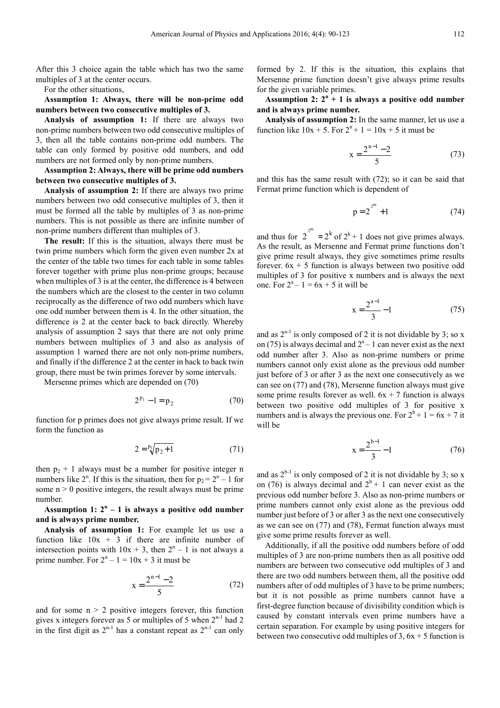After this 3 choice again the table which has two the same multiples of 3 at the center occurs.

For the other situations,

**Assumption 1: Always, there will be non-prime odd numbers between two consecutive multiples of 3.** 

**Analysis of assumption 1:** If there are always two non-prime numbers between two odd consecutive multiples of 3, then all the table contains non-prime odd numbers. The table can only formed by positive odd numbers, and odd numbers are not formed only by non-prime numbers.

**Assumption 2: Always, there will be prime odd numbers between two consecutive multiples of 3.** 

**Analysis of assumption 2:** If there are always two prime numbers between two odd consecutive multiples of 3, then it must be formed all the table by multiples of 3 as non-prime numbers. This is not possible as there are infinite number of non-prime numbers different than multiples of 3.

**The result:** If this is the situation, always there must be twin prime numbers which form the given even number 2x at the center of the table two times for each table in some tables forever together with prime plus non-prime groups; because when multiples of 3 is at the center, the difference is 4 between the numbers which are the closest to the center in two column reciprocally as the difference of two odd numbers which have one odd number between them is 4. In the other situation, the difference is 2 at the center back to back directly. Whereby analysis of assumption 2 says that there are not only prime numbers between multiplies of 3 and also as analysis of assumption 1 warned there are not only non-prime numbers, and finally if the difference 2 at the center in back to back twin group, there must be twin primes forever by some intervals.

Mersenne primes which are depended on (70)

$$
2^{p_1} - 1 = p_2 \tag{70}
$$

function for p primes does not give always prime result. If we form the function as

$$
2 = \sqrt[{\mathbf{p}}_1 \mathbf{p}_2 + 1 \tag{71}
$$

then  $p_2 + 1$  always must be a number for positive integer n numbers like  $2^n$ . If this is the situation, then for  $p_2 = 2^n - 1$  for some  $n > 0$  positive integers, the result always must be prime number.

Assumption  $1: 2^n - 1$  is always a positive odd number **and is always prime number.** 

**Analysis of assumption 1:** For example let us use a function like  $10x + 3$  if there are infinite number of intersection points with  $10x + 3$ , then  $2<sup>n</sup> - 1$  is not always a prime number. For  $2^{n} - 1 = 10x + 3$  it must be

$$
x = \frac{2^{n-1} - 2}{5}
$$
 (72)

and for some  $n > 2$  positive integers forever, this function gives x integers forever as 5 or multiples of 5 when  $2^{n-1}$  had 2 in the first digit as  $2^{n-1}$  has a constant repeat as  $2^{n-1}$  can only formed by 2. If this is the situation, this explains that Mersenne prime function doesn't give always prime results for the given variable primes.

Assumption 2:  $2^n + 1$  is always a positive odd number **and is always prime number.** 

**Analysis of assumption 2:** In the same manner, let us use a function like  $10x + 5$ . For  $2^n + 1 = 10x + 5$  it must be

$$
x = \frac{2^{n-1} - 2}{5}
$$
 (73)

and this has the same result with (72); so it can be said that Fermat prime function which is dependent of

$$
p = 2^{2^m} + 1 \tag{74}
$$

and thus for  $2^{2^m} = 2^k$  of  $2^k + 1$  does not give primes always. As the result, as Mersenne and Fermat prime functions don't give prime result always, they give sometimes prime results forever.  $6x + 5$  function is always between two positive odd multiples of 3 for positive x numbers and is always the next one. For  $2^a - 1 = 6x + 5$  it will be

$$
x = \frac{2^{a-1}}{3} - 1\tag{75}
$$

and as  $2^{a-1}$  is only composed of 2 it is not dividable by 3; so x on (75) is always decimal and  $2<sup>a</sup> - 1$  can never exist as the next odd number after 3. Also as non-prime numbers or prime numbers cannot only exist alone as the previous odd number just before of 3 or after 3 as the next one consecutively as we can see on (77) and (78), Mersenne function always must give some prime results forever as well.  $6x + 7$  function is always between two positive odd multiples of 3 for positive x numbers and is always the previous one. For  $2^b + 1 = 6x + 7$  it will be

$$
x = \frac{2^{b-1}}{3} - 1\tag{76}
$$

and as  $2^{b-1}$  is only composed of 2 it is not dividable by 3; so x on (76) is always decimal and  $2^b + 1$  can never exist as the previous odd number before 3. Also as non-prime numbers or prime numbers cannot only exist alone as the previous odd number just before of 3 or after 3 as the next one consecutively as we can see on (77) and (78), Fermat function always must give some prime results forever as well.

Additionally, if all the positive odd numbers before of odd multiples of 3 are non-prime numbers then as all positive odd numbers are between two consecutive odd multiples of 3 and there are two odd numbers between them, all the positive odd numbers after of odd multiples of 3 have to be prime numbers; but it is not possible as prime numbers cannot have a first-degree function because of divisibility condition which is caused by constant intervals even prime numbers have a certain separation. For example by using positive integers for between two consecutive odd multiples of 3,  $6x + 5$  function is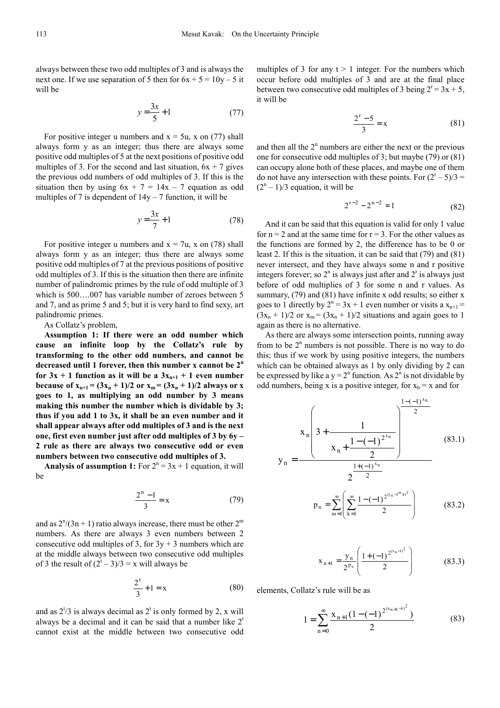always between these two odd multiples of 3 and is always the next one. If we use separation of 5 then for  $6x + 5 = 10y - 5$  it will be

$$
y = \frac{3x}{5} + 1\tag{77}
$$

For positive integer u numbers and  $x = 5u$ , x on (77) shall always form y as an integer; thus there are always some positive odd multiples of 5 at the next positions of positive odd multiples of 3. For the second and last situation,  $6x + 7$  gives the previous odd numbers of odd multiples of 3. If this is the situation then by using  $6x + 7 = 14x - 7$  equation as odd multiples of 7 is dependent of  $14y - 7$  function, it will be

$$
y = \frac{3x}{7} + 1\tag{78}
$$

For positive integer u numbers and  $x = 7u$ , x on (78) shall always form y as an integer; thus there are always some positive odd multiples of 7 at the previous positions of positive odd multiples of 3. If this is the situation then there are infinite number of palindromic primes by the rule of odd multiple of 3 which is 500….007 has variable number of zeroes between 5 and 7, and as prime 5 and 5; but it is very hard to find sexy, art palindromic primes.

As Collatz's problem,

**Assumption 1: If there were an odd number which cause an infinite loop by the Collatz's rule by transforming to the other odd numbers, and cannot be decreased until 1 forever, then this number x cannot be 2<sup>n</sup>** for  $3x + 1$  function as it will be a  $3x_{n+1} + 1$  even number **because of**  $x_{n+1} = (3x_n + 1)/2$  **or**  $x_m = (3x_n + 1)/2$  **always or x goes to 1, as multiplying an odd number by 3 means making this number the number which is dividable by 3; thus if you add 1 to 3x, it shall be an even number and it shall appear always after odd multiples of 3 and is the next one, first even number just after odd multiples of 3 by 6y – 2 rule as there are always two consecutive odd or even numbers between two consecutive odd multiples of 3.**

**Analysis of assumption 1:** For  $2^n = 3x + 1$  equation, it will be

$$
\frac{2^{n}-1}{3} = x
$$
 (79)

and as  $2^{n}/(3n + 1)$  ratio always increase, there must be other  $2^{m}$ numbers. As there are always 3 even numbers between 2 consecutive odd multiples of 3, for  $3y + 3$  numbers which are at the middle always between two consecutive odd multiples of 3 the result of  $(2<sup>t</sup> – 3)/3 = x$  will always be

$$
\frac{2^t}{3} + 1 = x \tag{80}
$$

and as  $2^{t}/3$  is always decimal as  $2^{t}$  is only formed by 2, x will always be a decimal and it can be said that a number like  $2<sup>t</sup>$ cannot exist at the middle between two consecutive odd

multiples of 3 for any  $t > 1$  integer. For the numbers which occur before odd multiples of 3 and are at the final place between two consecutive odd multiples of 3 being  $2^r = 3x + 5$ , it will be

$$
\frac{2^r - 5}{3} = x \tag{81}
$$

and then all the  $2<sup>n</sup>$  numbers are either the next or the previous one for consecutive odd multiples of 3; but maybe (79) or (81) can occupy alone both of these places, and maybe one of them do not have any intersection with these points. For  $(2^{r} – 5)/3 =$  $(2<sup>n</sup> - 1)/3$  equation, it will be

$$
2^{r-2} - 2^{n-2} = 1 \tag{82}
$$

And it can be said that this equation is valid for only 1 value for  $n = 2$  and at the same time for  $r = 3$ . For the other values as the functions are formed by 2, the difference has to be 0 or least 2. If this is the situation, it can be said that (79) and (81) never intersect, and they have always some n and r positive integers forever; so  $2^n$  is always just after and  $2^r$  is always just before of odd multiplies of 3 for some n and r values. As summary, (79) and (81) have infinite x odd results; so either x goes to 1 directly by  $2^n = 3x + 1$  even number or visits a  $x_{n+1} =$  $(3x_n + 1)/2$  or  $x_m = (3x_n + 1)/2$  situations and again goes to 1 again as there is no alternative.

As there are always some intersection points, running away from to be  $2<sup>n</sup>$  numbers is not possible. There is no way to do this; thus if we work by using positive integers, the numbers which can be obtained always as 1 by only dividing by 2 can be expressed by like a  $y = 2^n$  function. As  $2^n$  is not dividable by odd numbers, being x is a positive integer, for  $x_0 = x$  and for

$$
y_{n} = \frac{x_{n} \left(3 + \frac{1}{x_{n} + \frac{1 - (-1)^{2^{x_{n}}}}{2}}\right)^{\frac{1 - (-1)^{x_{n}}}{2}}}{2^{\frac{1 + (-1)^{x_{n}}}{2}}}
$$
(83.1)

$$
p_n = \sum_{m=1}^{\infty} \left( \sum_{k=1}^{\infty} \frac{1 - (-1)^{2^{(y_n - 2^m k)^2}}}{2} \right)
$$
(83.2)

$$
x_{n+1} = \frac{y_n}{2^{p_n}} \left( \frac{1 + (-1)^{2^{(x_n - 1)^2}}}{2} \right)
$$
 (83.3)

elements, Collatz's rule will be as

$$
1 = \sum_{n=0}^{\infty} \frac{x_{n+1} (1 - (-1)^{2^{(x_{n+1}-1)^2}})}{2}
$$
 (83)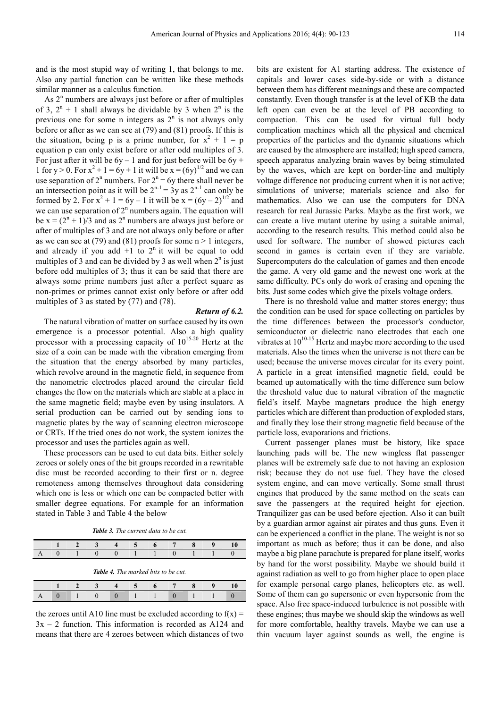and is the most stupid way of writing 1, that belongs to me. Also any partial function can be written like these methods similar manner as a calculus function.

As 2<sup>n</sup> numbers are always just before or after of multiples of 3,  $2^{n} + 1$  shall always be dividable by 3 when  $2^{n}$  is the previous one for some n integers as  $2<sup>n</sup>$  is not always only before or after as we can see at (79) and (81) proofs. If this is the situation, being p is a prime number, for  $x^2 + 1 = p$ equation p can only exist before or after odd multiples of 3. For just after it will be  $6y - 1$  and for just before will be  $6y +$ 1 for  $y > 0$ . For  $x^2 + 1 = 6y + 1$  it will be  $x = (6y)^{1/2}$  and we can use separation of  $2^n$  numbers. For  $2^n = 6y$  there shall never be an intersection point as it will be  $2^{n-1} = 3y$  as  $2^{n-1}$  can only be formed by 2. For  $x^2 + 1 = 6y - 1$  it will be  $x = (6y - 2)^{1/2}$  and we can use separation of  $2<sup>n</sup>$  numbers again. The equation will be  $x = (2^{n} + 1)/3$  and as  $2^{n}$  numbers are always just before or after of multiples of 3 and are not always only before or after as we can see at (79) and (81) proofs for some  $n > 1$  integers, and already if you add  $+1$  to  $2<sup>n</sup>$  it will be equal to odd multiples of 3 and can be divided by 3 as well when  $2<sup>n</sup>$  is just before odd multiples of 3; thus it can be said that there are always some prime numbers just after a perfect square as non-primes or primes cannot exist only before or after odd multiples of 3 as stated by (77) and (78).

#### *Return of 6.2.*

The natural vibration of matter on surface caused by its own emergence is a processor potential. Also a high quality processor with a processing capacity of  $10^{15-20}$  Hertz at the size of a coin can be made with the vibration emerging from the situation that the energy absorbed by many particles, which revolve around in the magnetic field, in sequence from the nanometric electrodes placed around the circular field changes the flow on the materials which are stable at a place in the same magnetic field; maybe even by using insulators. A serial production can be carried out by sending ions to magnetic plates by the way of scanning electron microscope or CRTs. If the tried ones do not work, the system ionizes the processor and uses the particles again as well.

These processors can be used to cut data bits. Either solely zeroes or solely ones of the bit groups recorded in a rewritable disc must be recorded according to their first or n. degree remoteness among themselves throughout data considering which one is less or which one can be compacted better with smaller degree equations. For example for an information stated in Table 3 and Table 4 the below

| <b>Table 3.</b> The current data to be cut. |
|---------------------------------------------|
|---------------------------------------------|

| Α                                          |  |  |  |  |  |                                            |  |  |  |  |
|--------------------------------------------|--|--|--|--|--|--------------------------------------------|--|--|--|--|
| <b>Table 4.</b> The marked bits to be cut. |  |  |  |  |  |                                            |  |  |  |  |
|                                            |  |  |  |  |  | <b>Contract Contract Contract Contract</b> |  |  |  |  |

**1 2 3 4 5 6 7 8 9 10**  A 0 1 0 0 1 1 0 1 1 0

the zeroes until A10 line must be excluded according to  $f(x) =$  $3x - 2$  function. This information is recorded as A124 and means that there are 4 zeroes between which distances of two

bits are existent for A1 starting address. The existence of capitals and lower cases side-by-side or with a distance between them has different meanings and these are compacted constantly. Even though transfer is at the level of KB the data left open can even be at the level of PB according to compaction. This can be used for virtual full body complication machines which all the physical and chemical properties of the particles and the dynamic situations which are caused by the atmosphere are installed; high speed camera, speech apparatus analyzing brain waves by being stimulated by the waves, which are kept on border-line and multiply voltage difference not producing current when it is not active; simulations of universe; materials science and also for mathematics. Also we can use the computers for DNA research for real Jurassic Parks. Maybe as the first work, we can create a live mutant uterine by using a suitable animal, according to the research results. This method could also be used for software. The number of showed pictures each second in games is certain even if they are variable. Supercomputers do the calculation of games and then encode the game. A very old game and the newest one work at the same difficulty. PCs only do work of erasing and opening the bits. Just some codes which give the pixels voltage orders.

There is no threshold value and matter stores energy; thus the condition can be used for space collecting on particles by the time differences between the processor's conductor, semiconductor or dielectric nano electrodes that each one vibrates at  $10^{10-15}$  Hertz and maybe more according to the used materials. Also the times when the universe is not there can be used; because the universe moves circular for its every point. A particle in a great intensified magnetic field, could be beamed up automatically with the time difference sum below the threshold value due to natural vibration of the magnetic field's itself. Maybe magnetars produce the high energy particles which are different than production of exploded stars, and finally they lose their strong magnetic field because of the particle loss, evaporations and frictions.

Current passenger planes must be history, like space launching pads will be. The new wingless flat passenger planes will be extremely safe due to not having an explosion risk; because they do not use fuel. They have the closed system engine, and can move vertically. Some small thrust engines that produced by the same method on the seats can save the passengers at the required height for ejection. Tranquilizer gas can be used before ejection. Also it can built by a guardian armor against air pirates and thus guns. Even it can be experienced a conflict in the plane. The weight is not so important as much as before; thus it can be done, and also maybe a big plane parachute is prepared for plane itself, works by hand for the worst possibility. Maybe we should build it against radiation as well to go from higher place to open place for example personal cargo planes, helicopters etc. as well. Some of them can go supersonic or even hypersonic from the space. Also free space-induced turbulence is not possible with these engines; thus maybe we should skip the windows as well for more comfortable, healthy travels. Maybe we can use a thin vacuum layer against sounds as well, the engine is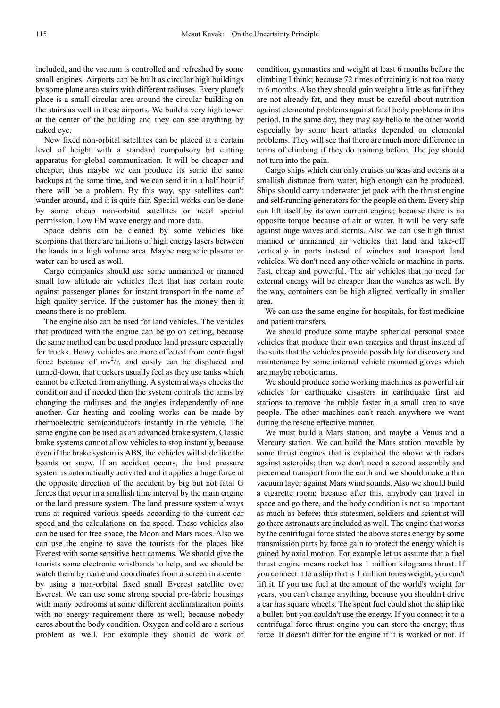included, and the vacuum is controlled and refreshed by some small engines. Airports can be built as circular high buildings by some plane area stairs with different radiuses. Every plane's place is a small circular area around the circular building on the stairs as well in these airports. We build a very high tower at the center of the building and they can see anything by naked eye.

New fixed non-orbital satellites can be placed at a certain level of height with a standard compulsory bit cutting apparatus for global communication. It will be cheaper and cheaper; thus maybe we can produce its some the same backups at the same time, and we can send it in a half hour if there will be a problem. By this way, spy satellites can't wander around, and it is quite fair. Special works can be done by some cheap non-orbital satellites or need special permission. Low EM wave energy and more data.

Space debris can be cleaned by some vehicles like scorpions that there are millions of high energy lasers between the hands in a high volume area. Maybe magnetic plasma or water can be used as well.

Cargo companies should use some unmanned or manned small low altitude air vehicles fleet that has certain route against passenger planes for instant transport in the name of high quality service. If the customer has the money then it means there is no problem.

The engine also can be used for land vehicles. The vehicles that produced with the engine can be go on ceiling, because the same method can be used produce land pressure especially for trucks. Heavy vehicles are more effected from centrifugal force because of  $mv^2/r$ , and easily can be displaced and turned-down, that truckers usually feel as they use tanks which cannot be effected from anything. A system always checks the condition and if needed then the system controls the arms by changing the radiuses and the angles independently of one another. Car heating and cooling works can be made by thermoelectric semiconductors instantly in the vehicle. The same engine can be used as an advanced brake system. Classic brake systems cannot allow vehicles to stop instantly, because even if the brake system is ABS, the vehicles will slide like the boards on snow. If an accident occurs, the land pressure system is automatically activated and it applies a huge force at the opposite direction of the accident by big but not fatal G forces that occur in a smallish time interval by the main engine or the land pressure system. The land pressure system always runs at required various speeds according to the current car speed and the calculations on the speed. These vehicles also can be used for free space, the Moon and Mars races. Also we can use the engine to save the tourists for the places like Everest with some sensitive heat cameras. We should give the tourists some electronic wristbands to help, and we should be watch them by name and coordinates from a screen in a center by using a non-orbital fixed small Everest satellite over Everest. We can use some strong special pre-fabric housings with many bedrooms at some different acclimatization points with no energy requirement there as well; because nobody cares about the body condition. Oxygen and cold are a serious problem as well. For example they should do work of

condition, gymnastics and weight at least 6 months before the climbing I think; because 72 times of training is not too many in 6 months. Also they should gain weight a little as fat if they are not already fat, and they must be careful about nutrition against elemental problems against fatal body problems in this period. In the same day, they may say hello to the other world especially by some heart attacks depended on elemental problems. They will see that there are much more difference in terms of climbing if they do training before. The joy should not turn into the pain.

Cargo ships which can only cruises on seas and oceans at a smallish distance from water, high enough can be produced. Ships should carry underwater jet pack with the thrust engine and self-running generators for the people on them. Every ship can lift itself by its own current engine; because there is no opposite torque because of air or water. It will be very safe against huge waves and storms. Also we can use high thrust manned or unmanned air vehicles that land and take-off vertically in ports instead of winches and transport land vehicles. We don't need any other vehicle or machine in ports. Fast, cheap and powerful. The air vehicles that no need for external energy will be cheaper than the winches as well. By the way, containers can be high aligned vertically in smaller area.

We can use the same engine for hospitals, for fast medicine and patient transfers.

We should produce some maybe spherical personal space vehicles that produce their own energies and thrust instead of the suits that the vehicles provide possibility for discovery and maintenance by some internal vehicle mounted gloves which are maybe robotic arms.

We should produce some working machines as powerful air vehicles for earthquake disasters in earthquake first aid stations to remove the rubble faster in a small area to save people. The other machines can't reach anywhere we want during the rescue effective manner.

We must build a Mars station, and maybe a Venus and a Mercury station. We can build the Mars station movable by some thrust engines that is explained the above with radars against asteroids; then we don't need a second assembly and piecemeal transport from the earth and we should make a thin vacuum layer against Mars wind sounds. Also we should build a cigarette room; because after this, anybody can travel in space and go there, and the body condition is not so important as much as before; thus statesmen, soldiers and scientist will go there astronauts are included as well. The engine that works by the centrifugal force stated the above stores energy by some transmission parts by force gain to protect the energy which is gained by axial motion. For example let us assume that a fuel thrust engine means rocket has 1 million kilograms thrust. If you connect it to a ship that is 1 million tones weight, you can't lift it. If you use fuel at the amount of the world's weight for years, you can't change anything, because you shouldn't drive a car has square wheels. The spent fuel could shot the ship like a bullet; but you couldn't use the energy. If you connect it to a centrifugal force thrust engine you can store the energy; thus force. It doesn't differ for the engine if it is worked or not. If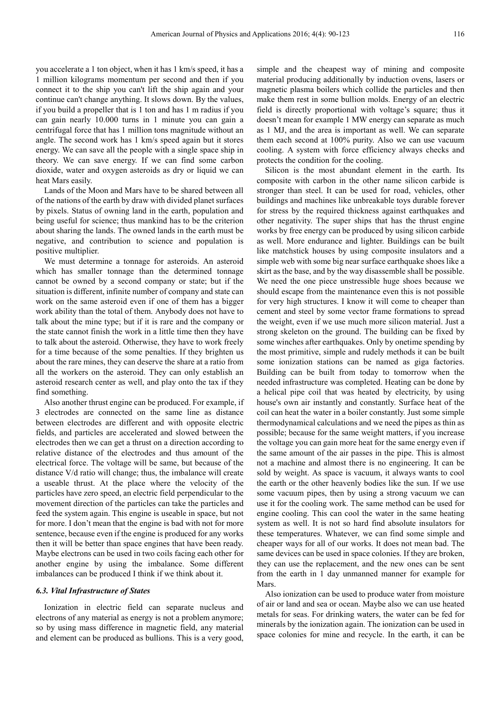you accelerate a 1 ton object, when it has 1 km/s speed, it has a 1 million kilograms momentum per second and then if you connect it to the ship you can't lift the ship again and your continue can't change anything. It slows down. By the values, if you build a propeller that is 1 ton and has 1 m radius if you can gain nearly 10.000 turns in 1 minute you can gain a centrifugal force that has 1 million tons magnitude without an angle. The second work has 1 km/s speed again but it stores energy. We can save all the people with a single space ship in theory. We can save energy. If we can find some carbon dioxide, water and oxygen asteroids as dry or liquid we can heat Mars easily.

Lands of the Moon and Mars have to be shared between all of the nations of the earth by draw with divided planet surfaces by pixels. Status of owning land in the earth, population and being useful for science; thus mankind has to be the criterion about sharing the lands. The owned lands in the earth must be negative, and contribution to science and population is positive multiplier.

We must determine a tonnage for asteroids. An asteroid which has smaller tonnage than the determined tonnage cannot be owned by a second company or state; but if the situation is different, infinite number of company and state can work on the same asteroid even if one of them has a bigger work ability than the total of them. Anybody does not have to talk about the mine type; but if it is rare and the company or the state cannot finish the work in a little time then they have to talk about the asteroid. Otherwise, they have to work freely for a time because of the some penalties. If they brighten us about the rare mines, they can deserve the share at a ratio from all the workers on the asteroid. They can only establish an asteroid research center as well, and play onto the tax if they find something.

Also another thrust engine can be produced. For example, if 3 electrodes are connected on the same line as distance between electrodes are different and with opposite electric fields, and particles are accelerated and slowed between the electrodes then we can get a thrust on a direction according to relative distance of the electrodes and thus amount of the electrical force. The voltage will be same, but because of the distance V/d ratio will change; thus, the imbalance will create a useable thrust. At the place where the velocity of the particles have zero speed, an electric field perpendicular to the movement direction of the particles can take the particles and feed the system again. This engine is useable in space, but not for more. I don't mean that the engine is bad with not for more sentence, because even if the engine is produced for any works then it will be better than space engines that have been ready. Maybe electrons can be used in two coils facing each other for another engine by using the imbalance. Some different imbalances can be produced I think if we think about it.

#### *6.3. Vital Infrastructure of States*

Ionization in electric field can separate nucleus and electrons of any material as energy is not a problem anymore; so by using mass difference in magnetic field, any material and element can be produced as bullions. This is a very good,

simple and the cheapest way of mining and composite material producing additionally by induction ovens, lasers or magnetic plasma boilers which collide the particles and then make them rest in some bullion molds. Energy of an electric field is directly proportional with voltage's square; thus it doesn't mean for example 1 MW energy can separate as much as 1 MJ, and the area is important as well. We can separate them each second at 100% purity. Also we can use vacuum cooling. A system with force efficiency always checks and protects the condition for the cooling.

Silicon is the most abundant element in the earth. Its composite with carbon in the other name silicon carbide is stronger than steel. It can be used for road, vehicles, other buildings and machines like unbreakable toys durable forever for stress by the required thickness against earthquakes and other negativity. The super ships that has the thrust engine works by free energy can be produced by using silicon carbide as well. More endurance and lighter. Buildings can be built like matchstick houses by using composite insulators and a simple web with some big near surface earthquake shoes like a skirt as the base, and by the way disassemble shall be possible. We need the one piece unstressible huge shoes because we should escape from the maintenance even this is not possible for very high structures. I know it will come to cheaper than cement and steel by some vector frame formations to spread the weight, even if we use much more silicon material. Just a strong skeleton on the ground. The building can be fixed by some winches after earthquakes. Only by onetime spending by the most primitive, simple and rudely methods it can be built some ionization stations can be named as giga factories. Building can be built from today to tomorrow when the needed infrastructure was completed. Heating can be done by a helical pipe coil that was heated by electricity, by using house's own air instantly and constantly. Surface heat of the coil can heat the water in a boiler constantly. Just some simple thermodynamical calculations and we need the pipes as thin as possible; because for the same weight matters, if you increase the voltage you can gain more heat for the same energy even if the same amount of the air passes in the pipe. This is almost not a machine and almost there is no engineering. It can be sold by weight. As space is vacuum, it always wants to cool the earth or the other heavenly bodies like the sun. If we use some vacuum pipes, then by using a strong vacuum we can use it for the cooling work. The same method can be used for engine cooling. This can cool the water in the same heating system as well. It is not so hard find absolute insulators for these temperatures. Whatever, we can find some simple and cheaper ways for all of our works. It does not mean bad. The same devices can be used in space colonies. If they are broken, they can use the replacement, and the new ones can be sent from the earth in 1 day unmanned manner for example for Mars.

Also ionization can be used to produce water from moisture of air or land and sea or ocean. Maybe also we can use heated metals for seas. For drinking waters, the water can be fed for minerals by the ionization again. The ionization can be used in space colonies for mine and recycle. In the earth, it can be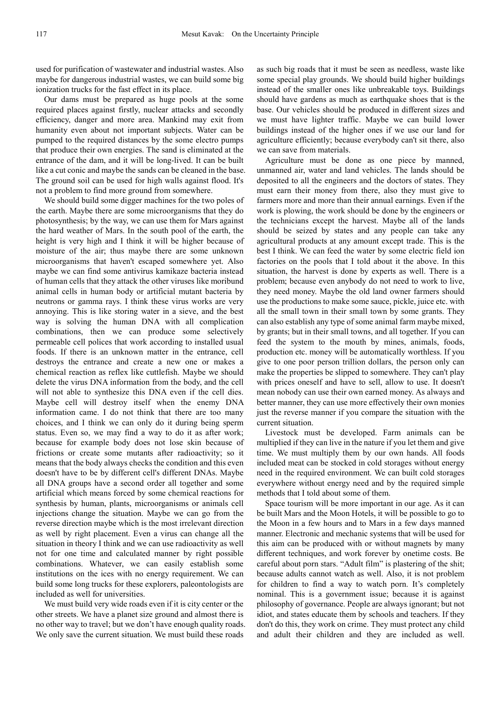used for purification of wastewater and industrial wastes. Also maybe for dangerous industrial wastes, we can build some big ionization trucks for the fast effect in its place.

Our dams must be prepared as huge pools at the some required places against firstly, nuclear attacks and secondly efficiency, danger and more area. Mankind may exit from humanity even about not important subjects. Water can be pumped to the required distances by the some electro pumps that produce their own energies. The sand is eliminated at the entrance of the dam, and it will be long-lived. It can be built like a cut conic and maybe the sands can be cleaned in the base. The ground soil can be used for high walls against flood. It's not a problem to find more ground from somewhere.

We should build some digger machines for the two poles of the earth. Maybe there are some microorganisms that they do photosynthesis; by the way, we can use them for Mars against the hard weather of Mars. In the south pool of the earth, the height is very high and I think it will be higher because of moisture of the air; thus maybe there are some unknown microorganisms that haven't escaped somewhere yet. Also maybe we can find some antivirus kamikaze bacteria instead of human cells that they attack the other viruses like moribund animal cells in human body or artificial mutant bacteria by neutrons or gamma rays. I think these virus works are very annoying. This is like storing water in a sieve, and the best way is solving the human DNA with all complication combinations, then we can produce some selectively permeable cell polices that work according to installed usual foods. If there is an unknown matter in the entrance, cell destroys the entrance and create a new one or makes a chemical reaction as reflex like cuttlefish. Maybe we should delete the virus DNA information from the body, and the cell will not able to synthesize this DNA even if the cell dies. Maybe cell will destroy itself when the enemy DNA information came. I do not think that there are too many choices, and I think we can only do it during being sperm status. Even so, we may find a way to do it as after work; because for example body does not lose skin because of frictions or create some mutants after radioactivity; so it means that the body always checks the condition and this even doesn't have to be by different cell's different DNAs. Maybe all DNA groups have a second order all together and some artificial which means forced by some chemical reactions for synthesis by human, plants, microorganisms or animals cell injections change the situation. Maybe we can go from the reverse direction maybe which is the most irrelevant direction as well by right placement. Even a virus can change all the situation in theory I think and we can use radioactivity as well not for one time and calculated manner by right possible combinations. Whatever, we can easily establish some institutions on the ices with no energy requirement. We can build some long trucks for these explorers, paleontologists are included as well for universities.

We must build very wide roads even if it is city center or the other streets. We have a planet size ground and almost there is no other way to travel; but we don't have enough quality roads. We only save the current situation. We must build these roads

as such big roads that it must be seen as needless, waste like some special play grounds. We should build higher buildings instead of the smaller ones like unbreakable toys. Buildings should have gardens as much as earthquake shoes that is the base. Our vehicles should be produced in different sizes and we must have lighter traffic. Maybe we can build lower buildings instead of the higher ones if we use our land for agriculture efficiently; because everybody can't sit there, also we can save from materials.

Agriculture must be done as one piece by manned, unmanned air, water and land vehicles. The lands should be deposited to all the engineers and the doctors of states. They must earn their money from there, also they must give to farmers more and more than their annual earnings. Even if the work is plowing, the work should be done by the engineers or the technicians except the harvest. Maybe all of the lands should be seized by states and any people can take any agricultural products at any amount except trade. This is the best I think. We can feed the water by some electric field ion factories on the pools that I told about it the above. In this situation, the harvest is done by experts as well. There is a problem; because even anybody do not need to work to live, they need money. Maybe the old land owner farmers should use the productions to make some sauce, pickle, juice etc. with all the small town in their small town by some grants. They can also establish any type of some animal farm maybe mixed, by grants; but in their small towns, and all together. If you can feed the system to the mouth by mines, animals, foods, production etc. money will be automatically worthless. If you give to one poor person trillion dollars, the person only can make the properties be slipped to somewhere. They can't play with prices oneself and have to sell, allow to use. It doesn't mean nobody can use their own earned money. As always and better manner, they can use more effectively their own monies just the reverse manner if you compare the situation with the current situation.

Livestock must be developed. Farm animals can be multiplied if they can live in the nature if you let them and give time. We must multiply them by our own hands. All foods included meat can be stocked in cold storages without energy need in the required environment. We can built cold storages everywhere without energy need and by the required simple methods that I told about some of them.

Space tourism will be more important in our age. As it can be built Mars and the Moon Hotels, it will be possible to go to the Moon in a few hours and to Mars in a few days manned manner. Electronic and mechanic systems that will be used for this aim can be produced with or without magnets by many different techniques, and work forever by onetime costs. Be careful about porn stars. "Adult film" is plastering of the shit; because adults cannot watch as well. Also, it is not problem for children to find a way to watch porn. It's completely nominal. This is a government issue; because it is against philosophy of governance. People are always ignorant; but not idiot, and states educate them by schools and teachers. If they don't do this, they work on crime. They must protect any child and adult their children and they are included as well.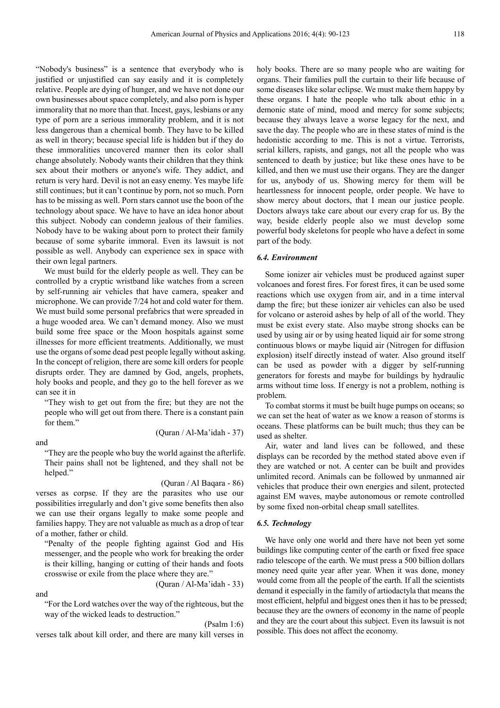"Nobody's business" is a sentence that everybody who is justified or unjustified can say easily and it is completely relative. People are dying of hunger, and we have not done our own businesses about space completely, and also porn is hyper immorality that no more than that. Incest, gays, lesbians or any type of porn are a serious immorality problem, and it is not less dangerous than a chemical bomb. They have to be killed as well in theory; because special life is hidden but if they do these immoralities uncovered manner then its color shall change absolutely. Nobody wants their children that they think sex about their mothers or anyone's wife. They addict, and return is very hard. Devil is not an easy enemy. Yes maybe life still continues; but it can't continue by porn, not so much. Porn has to be missing as well. Porn stars cannot use the boon of the technology about space. We have to have an idea honor about this subject. Nobody can condemn jealous of their families. Nobody have to be waking about porn to protect their family because of some sybarite immoral. Even its lawsuit is not possible as well. Anybody can experience sex in space with their own legal partners.

We must build for the elderly people as well. They can be controlled by a cryptic wristband like watches from a screen by self-running air vehicles that have camera, speaker and microphone. We can provide 7/24 hot and cold water for them. We must build some personal prefabrics that were spreaded in a huge wooded area. We can't demand money. Also we must build some free space or the Moon hospitals against some illnesses for more efficient treatments. Additionally, we must use the organs of some dead pest people legally without asking. In the concept of religion, there are some kill orders for people disrupts order. They are damned by God, angels, prophets, holy books and people, and they go to the hell forever as we can see it in

"They wish to get out from the fire; but they are not the people who will get out from there. There is a constant pain for them."

and

(Quran / Al-Ma'idah - 37)

"They are the people who buy the world against the afterlife. Their pains shall not be lightened, and they shall not be helped."

#### (Quran / Al Baqara - 86)

(Quran / Al-Ma'idah - 33)

verses as corpse. If they are the parasites who use our possibilities irregularly and don't give some benefits then also we can use their organs legally to make some people and families happy. They are not valuable as much as a drop of tear of a mother, father or child.

"Penalty of the people fighting against God and His messenger, and the people who work for breaking the order is their killing, hanging or cutting of their hands and foots crosswise or exile from the place where they are."

and

"For the Lord watches over the way of the righteous, but the way of the wicked leads to destruction."

#### (Psalm 1:6)

verses talk about kill order, and there are many kill verses in

holy books. There are so many people who are waiting for organs. Their families pull the curtain to their life because of some diseases like solar eclipse. We must make them happy by these organs. I hate the people who talk about ethic in a demonic state of mind, mood and mercy for some subjects; because they always leave a worse legacy for the next, and save the day. The people who are in these states of mind is the hedonistic according to me. This is not a virtue. Terrorists, serial killers, rapists, and gangs, not all the people who was sentenced to death by justice; but like these ones have to be killed, and then we must use their organs. They are the danger for us, anybody of us. Showing mercy for them will be heartlessness for innocent people, order people. We have to show mercy about doctors, that I mean our justice people. Doctors always take care about our every crap for us. By the way, beside elderly people also we must develop some powerful body skeletons for people who have a defect in some part of the body.

#### *6.4. Environment*

Some ionizer air vehicles must be produced against super volcanoes and forest fires. For forest fires, it can be used some reactions which use oxygen from air, and in a time interval damp the fire; but these ionizer air vehicles can also be used for volcano or asteroid ashes by help of all of the world. They must be exist every state. Also maybe strong shocks can be used by using air or by using heated liquid air for some strong continuous blows or maybe liquid air (Nitrogen for diffusion explosion) itself directly instead of water. Also ground itself can be used as powder with a digger by self-running generators for forests and maybe for buildings by hydraulic arms without time loss. If energy is not a problem, nothing is problem.

To combat storms it must be built huge pumps on oceans; so we can set the heat of water as we know a reason of storms is oceans. These platforms can be built much; thus they can be used as shelter.

Air, water and land lives can be followed, and these displays can be recorded by the method stated above even if they are watched or not. A center can be built and provides unlimited record. Animals can be followed by unmanned air vehicles that produce their own energies and silent, protected against EM waves, maybe autonomous or remote controlled by some fixed non-orbital cheap small satellites.

#### *6.5. Technology*

We have only one world and there have not been yet some buildings like computing center of the earth or fixed free space radio telescope of the earth. We must press a 500 billion dollars money need quite year after year. When it was done, money would come from all the people of the earth. If all the scientists demand it especially in the family of artiodactyla that means the most efficient, helpful and biggest ones then it has to be pressed; because they are the owners of economy in the name of people and they are the court about this subject. Even its lawsuit is not possible. This does not affect the economy.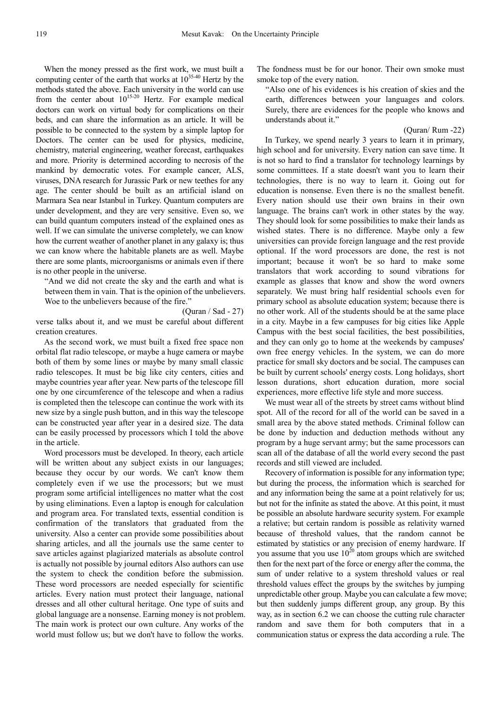When the money pressed as the first work, we must built a computing center of the earth that works at  $10^{35\cdot40}$  Hertz by the methods stated the above. Each university in the world can use from the center about  $10^{15-20}$  Hertz. For example medical doctors can work on virtual body for complications on their beds, and can share the information as an article. It will be possible to be connected to the system by a simple laptop for Doctors. The center can be used for physics, medicine, chemistry, material engineering, weather forecast, earthquakes and more. Priority is determined according to necrosis of the mankind by democratic votes. For example cancer, ALS, viruses, DNA research for Jurassic Park or new teethes for any age. The center should be built as an artificial island on Marmara Sea near Istanbul in Turkey. Quantum computers are under development, and they are very sensitive. Even so, we can build quantum computers instead of the explained ones as well. If we can simulate the universe completely, we can know how the current weather of another planet in any galaxy is; thus we can know where the habitable planets are as well. Maybe there are some plants, microorganisms or animals even if there is no other people in the universe.

"And we did not create the sky and the earth and what is between them in vain. That is the opinion of the unbelievers. Woe to the unbelievers because of the fire."

(Quran / Sad - 27)

verse talks about it, and we must be careful about different creation creatures.

As the second work, we must built a fixed free space non orbital flat radio telescope, or maybe a huge camera or maybe both of them by some lines or maybe by many small classic radio telescopes. It must be big like city centers, cities and maybe countries year after year. New parts of the telescope fill one by one circumference of the telescope and when a radius is completed then the telescope can continue the work with its new size by a single push button, and in this way the telescope can be constructed year after year in a desired size. The data can be easily processed by processors which I told the above in the article.

Word processors must be developed. In theory, each article will be written about any subject exists in our languages; because they occur by our words. We can't know them completely even if we use the processors; but we must program some artificial intelligences no matter what the cost by using eliminations. Even a laptop is enough for calculation and program area. For translated texts, essential condition is confirmation of the translators that graduated from the university. Also a center can provide some possibilities about sharing articles, and all the journals use the same center to save articles against plagiarized materials as absolute control is actually not possible by journal editors Also authors can use the system to check the condition before the submission. These word processors are needed especially for scientific articles. Every nation must protect their language, national dresses and all other cultural heritage. One type of suits and global language are a nonsense. Earning money is not problem. The main work is protect our own culture. Any works of the world must follow us; but we don't have to follow the works.

The fondness must be for our honor. Their own smoke must smoke top of the every nation.

"Also one of his evidences is his creation of skies and the earth, differences between your languages and colors. Surely, there are evidences for the people who knows and understands about it."

(Quran/ Rum -22)

In Turkey, we spend nearly 3 years to learn it in primary, high school and for university. Every nation can save time. It is not so hard to find a translator for technology learnings by some committees. If a state doesn't want you to learn their technologies, there is no way to learn it. Going out for education is nonsense. Even there is no the smallest benefit. Every nation should use their own brains in their own language. The brains can't work in other states by the way. They should look for some possibilities to make their lands as wished states. There is no difference. Maybe only a few universities can provide foreign language and the rest provide optional. If the word processors are done, the rest is not important; because it won't be so hard to make some translators that work according to sound vibrations for example as glasses that know and show the word owners separately. We must bring half residential schools even for primary school as absolute education system; because there is no other work. All of the students should be at the same place in a city. Maybe in a few campuses for big cities like Apple Campus with the best social facilities, the best possibilities, and they can only go to home at the weekends by campuses' own free energy vehicles. In the system, we can do more practice for small sky doctors and be social. The campuses can be built by current schools' energy costs. Long holidays, short lesson durations, short education duration, more social experiences, more effective life style and more success.

We must wear all of the streets by street cams without blind spot. All of the record for all of the world can be saved in a small area by the above stated methods. Criminal follow can be done by induction and deduction methods without any program by a huge servant army; but the same processors can scan all of the database of all the world every second the past records and still viewed are included.

Recovery of information is possible for any information type; but during the process, the information which is searched for and any information being the same at a point relatively for us; but not for the infinite as stated the above. At this point, it must be possible an absolute hardware security system. For example a relative; but certain random is possible as relativity warned because of threshold values, that the random cannot be estimated by statistics or any precision of enemy hardware. If you assume that you use  $10^{20}$  atom groups which are switched then for the next part of the force or energy after the comma, the sum of under relative to a system threshold values or real threshold values effect the groups by the switches by jumping unpredictable other group. Maybe you can calculate a few move; but then suddenly jumps different group, any group. By this way, as in section 6.2 we can choose the cutting rule character random and save them for both computers that in a communication status or express the data according a rule. The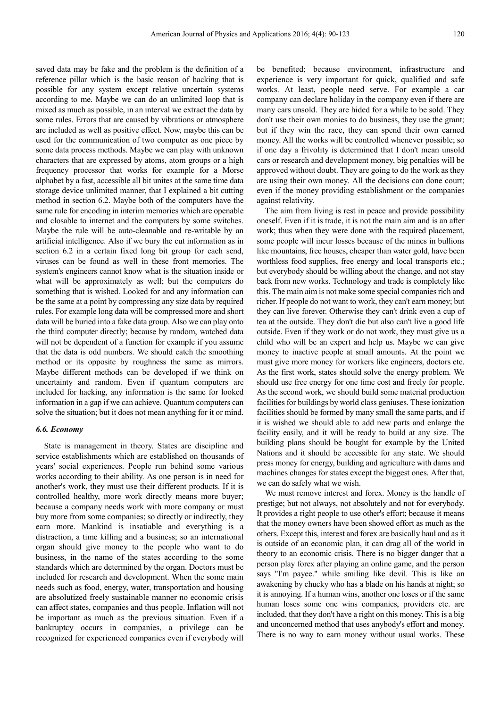saved data may be fake and the problem is the definition of a reference pillar which is the basic reason of hacking that is possible for any system except relative uncertain systems according to me. Maybe we can do an unlimited loop that is mixed as much as possible, in an interval we extract the data by some rules. Errors that are caused by vibrations or atmosphere are included as well as positive effect. Now, maybe this can be used for the communication of two computer as one piece by some data process methods. Maybe we can play with unknown characters that are expressed by atoms, atom groups or a high frequency processor that works for example for a Morse alphabet by a fast, accessible all bit unites at the same time data storage device unlimited manner, that I explained a bit cutting method in section 6.2. Maybe both of the computers have the same rule for encoding in interim memories which are openable and closable to internet and the computers by some switches. Maybe the rule will be auto-cleanable and re-writable by an artificial intelligence. Also if we bury the cut information as in section 6.2 in a certain fixed long bit group for each send, viruses can be found as well in these front memories. The system's engineers cannot know what is the situation inside or what will be approximately as well; but the computers do something that is wished. Looked for and any information can be the same at a point by compressing any size data by required rules. For example long data will be compressed more and short data will be buried into a fake data group. Also we can play onto the third computer directly; because by random, watched data will not be dependent of a function for example if you assume that the data is odd numbers. We should catch the smoothing method or its opposite by roughness the same as mirrors. Maybe different methods can be developed if we think on uncertainty and random. Even if quantum computers are included for hacking, any information is the same for looked information in a gap if we can achieve. Quantum computers can solve the situation; but it does not mean anything for it or mind.

#### *6.6. Economy*

State is management in theory. States are discipline and service establishments which are established on thousands of years' social experiences. People run behind some various works according to their ability. As one person is in need for another's work, they must use their different products. If it is controlled healthy, more work directly means more buyer; because a company needs work with more company or must buy more from some companies; so directly or indirectly, they earn more. Mankind is insatiable and everything is a distraction, a time killing and a business; so an international organ should give money to the people who want to do business, in the name of the states according to the some standards which are determined by the organ. Doctors must be included for research and development. When the some main needs such as food, energy, water, transportation and housing are absolutized freely sustainable manner no economic crisis can affect states, companies and thus people. Inflation will not be important as much as the previous situation. Even if a bankruptcy occurs in companies, a privilege can be recognized for experienced companies even if everybody will

be benefited; because environment, infrastructure and experience is very important for quick, qualified and safe works. At least, people need serve. For example a car company can declare holiday in the company even if there are many cars unsold. They are hided for a while to be sold. They don't use their own monies to do business, they use the grant; but if they win the race, they can spend their own earned money. All the works will be controlled whenever possible; so if one day a frivolity is determined that I don't mean unsold cars or research and development money, big penalties will be approved without doubt. They are going to do the work as they are using their own money. All the decisions can done court; even if the money providing establishment or the companies against relativity.

The aim from living is rest in peace and provide possibility oneself. Even if it is trade, it is not the main aim and is an after work; thus when they were done with the required placement, some people will incur losses because of the mines in bullions like mountains, free houses, cheaper than water gold, have been worthless food supplies, free energy and local transports etc.; but everybody should be willing about the change, and not stay back from new works. Technology and trade is completely like this. The main aim is not make some special companies rich and richer. If people do not want to work, they can't earn money; but they can live forever. Otherwise they can't drink even a cup of tea at the outside. They don't die but also can't live a good life outside. Even if they work or do not work, they must give us a child who will be an expert and help us. Maybe we can give money to inactive people at small amounts. At the point we must give more money for workers like engineers, doctors etc. As the first work, states should solve the energy problem. We should use free energy for one time cost and freely for people. As the second work, we should build some material production facilities for buildings by world class geniuses. These ionization facilities should be formed by many small the same parts, and if it is wished we should able to add new parts and enlarge the facility easily, and it will be ready to build at any size. The building plans should be bought for example by the United Nations and it should be accessible for any state. We should press money for energy, building and agriculture with dams and machines changes for states except the biggest ones. After that, we can do safely what we wish.

We must remove interest and forex. Money is the handle of prestige; but not always, not absolutely and not for everybody. It provides a right people to use other's effort; because it means that the money owners have been showed effort as much as the others. Except this, interest and forex are basically haul and as it is outside of an economic plan, it can drag all of the world in theory to an economic crisis. There is no bigger danger that a person play forex after playing an online game, and the person says "I'm payee." while smiling like devil. This is like an awakening by chucky who has a blade on his hands at night; so it is annoying. If a human wins, another one loses or if the same human loses some one wins companies, providers etc. are included, that they don't have a right on this money. This is a big and unconcerned method that uses anybody's effort and money. There is no way to earn money without usual works. These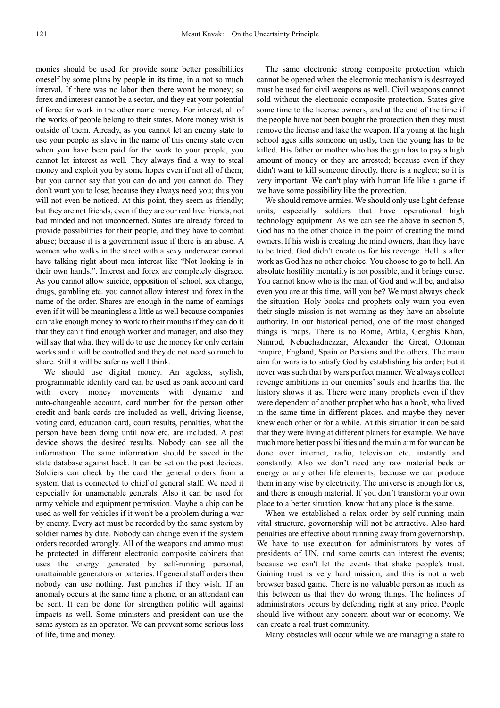monies should be used for provide some better possibilities oneself by some plans by people in its time, in a not so much interval. If there was no labor then there won't be money; so forex and interest cannot be a sector, and they eat your potential of force for work in the other name money. For interest, all of the works of people belong to their states. More money wish is outside of them. Already, as you cannot let an enemy state to use your people as slave in the name of this enemy state even when you have been paid for the work to your people, you cannot let interest as well. They always find a way to steal money and exploit you by some hopes even if not all of them; but you cannot say that you can do and you cannot do. They don't want you to lose; because they always need you; thus you will not even be noticed. At this point, they seem as friendly; but they are not friends, even if they are our real live friends, not bad minded and not unconcerned. States are already forced to provide possibilities for their people, and they have to combat abuse; because it is a government issue if there is an abuse. A women who walks in the street with a sexy underwear cannot have talking right about men interest like "Not looking is in their own hands.". Interest and forex are completely disgrace. As you cannot allow suicide, opposition of school, sex change, drugs, gambling etc. you cannot allow interest and forex in the name of the order. Shares are enough in the name of earnings even if it will be meaningless a little as well because companies can take enough money to work to their mouths if they can do it that they can't find enough worker and manager, and also they will say that what they will do to use the money for only certain works and it will be controlled and they do not need so much to share. Still it will be safer as well I think.

We should use digital money. An ageless, stylish, programmable identity card can be used as bank account card with every money movements with dynamic and auto-changeable account, card number for the person other credit and bank cards are included as well, driving license, voting card, education card, court results, penalties, what the person have been doing until now etc. are included. A post device shows the desired results. Nobody can see all the information. The same information should be saved in the state database against hack. It can be set on the post devices. Soldiers can check by the card the general orders from a system that is connected to chief of general staff. We need it especially for unamenable generals. Also it can be used for army vehicle and equipment permission. Maybe a chip can be used as well for vehicles if it won't be a problem during a war by enemy. Every act must be recorded by the same system by soldier names by date. Nobody can change even if the system orders recorded wrongly. All of the weapons and ammo must be protected in different electronic composite cabinets that uses the energy generated by self-running personal, unattainable generators or batteries. If general staff orders then nobody can use nothing. Just punches if they wish. If an anomaly occurs at the same time a phone, or an attendant can be sent. It can be done for strengthen politic will against impacts as well. Some ministers and president can use the same system as an operator. We can prevent some serious loss of life, time and money.

The same electronic strong composite protection which cannot be opened when the electronic mechanism is destroyed must be used for civil weapons as well. Civil weapons cannot sold without the electronic composite protection. States give some time to the license owners, and at the end of the time if the people have not been bought the protection then they must remove the license and take the weapon. If a young at the high school ages kills someone unjustly, then the young has to be killed. His father or mother who has the gun has to pay a high amount of money or they are arrested; because even if they didn't want to kill someone directly, there is a neglect; so it is very important. We can't play with human life like a game if we have some possibility like the protection.

We should remove armies. We should only use light defense units, especially soldiers that have operational high technology equipment. As we can see the above in section 5, God has no the other choice in the point of creating the mind owners. If his wish is creating the mind owners, than they have to be tried. God didn't create us for his revenge. Hell is after work as God has no other choice. You choose to go to hell. An absolute hostility mentality is not possible, and it brings curse. You cannot know who is the man of God and will be, and also even you are at this time, will you be? We must always check the situation. Holy books and prophets only warn you even their single mission is not warning as they have an absolute authority. In our historical period, one of the most changed things is maps. There is no Rome, Attila, Genghis Khan, Nimrod, Nebuchadnezzar, Alexander the Great, Ottoman Empire, England, Spain or Persians and the others. The main aim for wars is to satisfy God by establishing his order; but it never was such that by wars perfect manner. We always collect revenge ambitions in our enemies' souls and hearths that the history shows it as. There were many prophets even if they were dependent of another prophet who has a book, who lived in the same time in different places, and maybe they never knew each other or for a while. At this situation it can be said that they were living at different planets for example. We have much more better possibilities and the main aim for war can be done over internet, radio, television etc. instantly and constantly. Also we don't need any raw material beds or energy or any other life elements; because we can produce them in any wise by electricity. The universe is enough for us, and there is enough material. If you don't transform your own place to a better situation, know that any place is the same.

When we established a relax order by self-running main vital structure, governorship will not be attractive. Also hard penalties are effective about running away from governorship. We have to use execution for administrators by votes of presidents of UN, and some courts can interest the events; because we can't let the events that shake people's trust. Gaining trust is very hard mission, and this is not a web browser based game. There is no valuable person as much as this between us that they do wrong things. The holiness of administrators occurs by defending right at any price. People should live without any concern about war or economy. We can create a real trust community.

Many obstacles will occur while we are managing a state to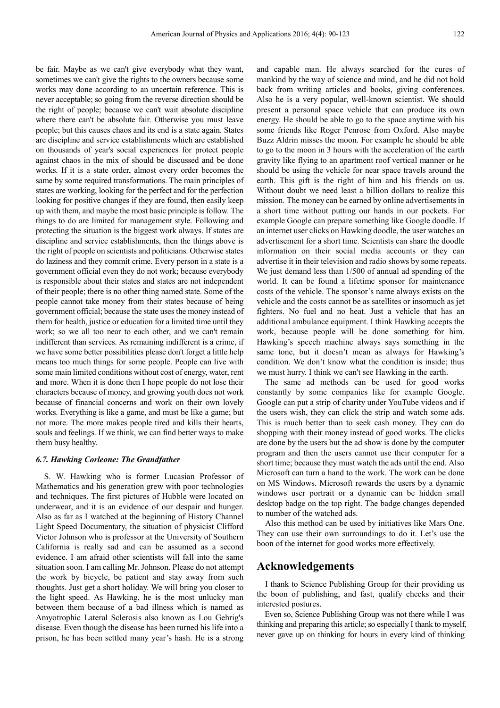be fair. Maybe as we can't give everybody what they want, sometimes we can't give the rights to the owners because some works may done according to an uncertain reference. This is never acceptable; so going from the reverse direction should be the right of people; because we can't wait absolute discipline where there can't be absolute fair. Otherwise you must leave people; but this causes chaos and its end is a state again. States are discipline and service establishments which are established on thousands of year's social experiences for protect people against chaos in the mix of should be discussed and be done works. If it is a state order, almost every order becomes the same by some required transformations. The main principles of states are working, looking for the perfect and for the perfection looking for positive changes if they are found, then easily keep up with them, and maybe the most basic principle is follow. The things to do are limited for management style. Following and protecting the situation is the biggest work always. If states are discipline and service establishments, then the things above is the right of people on scientists and politicians. Otherwise states do laziness and they commit crime. Every person in a state is a government official even they do not work; because everybody is responsible about their states and states are not independent of their people; there is no other thing named state. Some of the people cannot take money from their states because of being government official; because the state uses the money instead of them for health, justice or education for a limited time until they work; so we all too near to each other, and we can't remain indifferent than services. As remaining indifferent is a crime, if we have some better possibilities please don't forget a little help means too much things for some people. People can live with some main limited conditions without cost of energy, water, rent and more. When it is done then I hope people do not lose their characters because of money, and growing youth does not work because of financial concerns and work on their own lovely works. Everything is like a game, and must be like a game; but not more. The more makes people tired and kills their hearts, souls and feelings. If we think, we can find better ways to make them busy healthy.

#### *6.7. Hawking Corleone: The Grandfather*

S. W. Hawking who is former Lucasian Professor of Mathematics and his generation grew with poor technologies and techniques. The first pictures of Hubble were located on underwear, and it is an evidence of our despair and hunger. Also as far as I watched at the beginning of History Channel Light Speed Documentary, the situation of physicist Clifford Victor Johnson who is professor at the University of Southern California is really sad and can be assumed as a second evidence. I am afraid other scientists will fall into the same situation soon. I am calling Mr. Johnson. Please do not attempt the work by bicycle, be patient and stay away from such thoughts. Just get a short holiday. We will bring you closer to the light speed. As Hawking, he is the most unlucky man between them because of a bad illness which is named as Amyotrophic Lateral Sclerosis also known as Lou Gehrig's disease. Even though the disease has been turned his life into a prison, he has been settled many year's hash. He is a strong

and capable man. He always searched for the cures of mankind by the way of science and mind, and he did not hold back from writing articles and books, giving conferences. Also he is a very popular, well-known scientist. We should present a personal space vehicle that can produce its own energy. He should be able to go to the space anytime with his some friends like Roger Penrose from Oxford. Also maybe Buzz Aldrin misses the moon. For example he should be able to go to the moon in 3 hours with the acceleration of the earth gravity like flying to an apartment roof vertical manner or he should be using the vehicle for near space travels around the earth. This gift is the right of him and his friends on us. Without doubt we need least a billion dollars to realize this mission. The money can be earned by online advertisements in a short time without putting our hands in our pockets. For example Google can prepare something like Google doodle. If an internet user clicks on Hawking doodle, the user watches an advertisement for a short time. Scientists can share the doodle information on their social media accounts or they can advertise it in their television and radio shows by some repeats. We just demand less than 1/500 of annual ad spending of the world. It can be found a lifetime sponsor for maintenance costs of the vehicle. The sponsor's name always exists on the vehicle and the costs cannot be as satellites or insomuch as jet fighters. No fuel and no heat. Just a vehicle that has an additional ambulance equipment. I think Hawking accepts the work, because people will be done something for him. Hawking's speech machine always says something in the same tone, but it doesn't mean as always for Hawking's condition. We don't know what the condition is inside; thus we must hurry. I think we can't see Hawking in the earth.

The same ad methods can be used for good works constantly by some companies like for example Google. Google can put a strip of charity under YouTube videos and if the users wish, they can click the strip and watch some ads. This is much better than to seek cash money. They can do shopping with their money instead of good works. The clicks are done by the users but the ad show is done by the computer program and then the users cannot use their computer for a short time; because they must watch the ads until the end. Also Microsoft can turn a hand to the work. The work can be done on MS Windows. Microsoft rewards the users by a dynamic windows user portrait or a dynamic can be hidden small desktop badge on the top right. The badge changes depended to number of the watched ads.

Also this method can be used by initiatives like Mars One. They can use their own surroundings to do it. Let's use the boon of the internet for good works more effectively.

## **Acknowledgements**

I thank to Science Publishing Group for their providing us the boon of publishing, and fast, qualify checks and their interested postures.

Even so, Science Publishing Group was not there while I was thinking and preparing this article; so especially I thank to myself, never gave up on thinking for hours in every kind of thinking